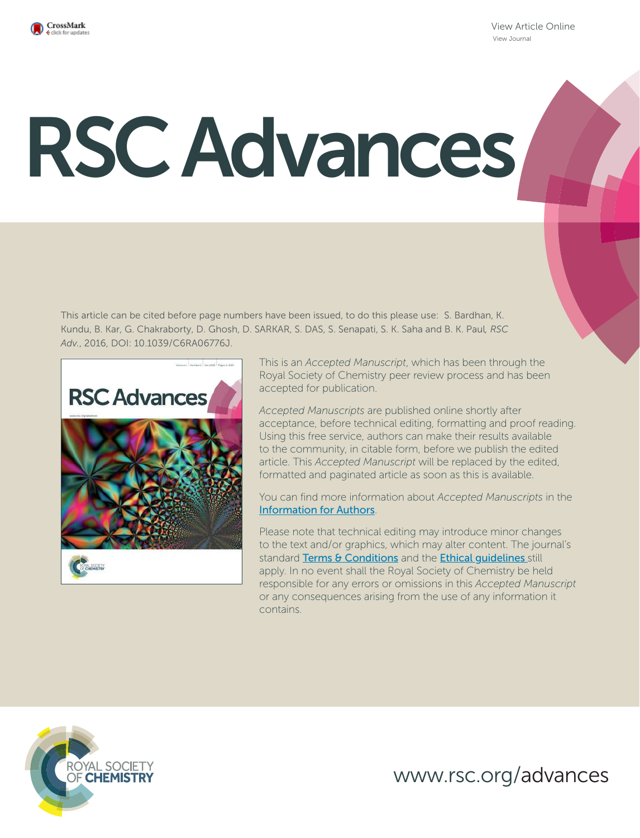

View Article Online View Journal

# RSC Advances

This article can be cited before page numbers have been issued, to do this please use: S. Bardhan, K. Kundu, B. Kar, G. Chakraborty, D. Ghosh, D. SARKAR, S. DAS, S. Senapati, S. K. Saha and B. K. Paul*, RSC Adv.*, 2016, DOI: 10.1039/C6RA06776J.



This is an *Accepted Manuscript*, which has been through the Royal Society of Chemistry peer review process and has been accepted for publication.

*Accepted Manuscripts* are published online shortly after acceptance, before technical editing, formatting and proof reading. Using this free service, authors can make their results available to the community, in citable form, before we publish the edited article. This *Accepted Manuscript* will be replaced by the edited, formatted and paginated article as soon as this is available.

You can find more information about *Accepted Manuscripts* in the Information for Authors.

Please note that technical editing may introduce minor changes to the text and/or graphics, which may alter content. The journal's standard Terms & Conditions and the Ethical quidelines still apply. In no event shall the Royal Society of Chemistry be held responsible for any errors or omissions in this *Accepted Manuscript* or any consequences arising from the use of any information it contains.



www.rsc.org/advances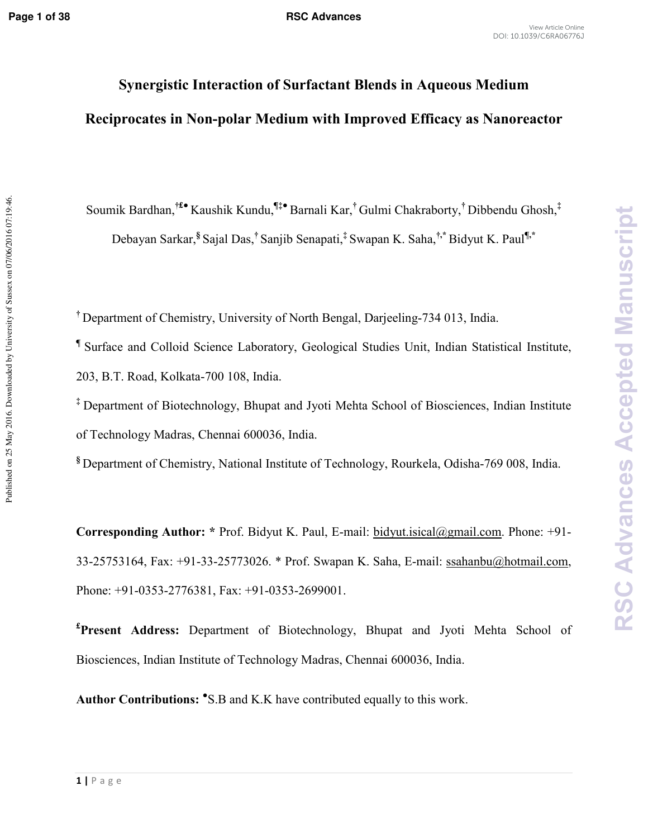Published on 25 May 2016. Downloaded by University of Sussex on 07/06/2016 07:19:46.

### **Page 1 of 38 RSC Advances**

View Article Online DOI: 10.1039/C6RA06776J

# **Synergistic Interaction of Surfactant Blends in Aqueous Medium Reciprocates in Non-polar Medium with Improved Efficacy as Nanoreactor**

Soumik Bardhan,**†£●** Kaushik Kundu,**¶‡●** Barnali Kar,**†** Gulmi Chakraborty,**†** Dibbendu Ghosh,**‡** 

Debayan Sarkar,**§** Sajal Das,**†** Sanjib Senapati,**‡** Swapan K. Saha,**†,\*** Bidyut K. Paul**¶,\***

<sup>†</sup> Department of Chemistry, University of North Bengal, Darjeeling-734 013, India.

**¶** Surface and Colloid Science Laboratory, Geological Studies Unit, Indian Statistical Institute, 203, B.T. Road, Kolkata-700 108, India.

**‡** Department of Biotechnology, Bhupat and Jyoti Mehta School of Biosciences, Indian Institute of Technology Madras, Chennai 600036, India.

<sup>§</sup> Department of Chemistry, National Institute of Technology, Rourkela, Odisha-769 008, India.

**Corresponding Author: \*** Prof. Bidyut K. Paul, E-mail: bidyut.isical@gmail.com. Phone: +91-33-25753164, Fax: +91-33-25773026. \* Prof. Swapan K. Saha, E-mail: ssahanbu@hotmail.com, Phone: +91-0353-2776381, Fax: +91-0353-2699001.

**£ Present Address:** Department of Biotechnology, Bhupat and Jyoti Mehta School of Biosciences, Indian Institute of Technology Madras, Chennai 600036, India.

Author Contributions: <sup>•</sup>S.B and K.K have contributed equally to this work.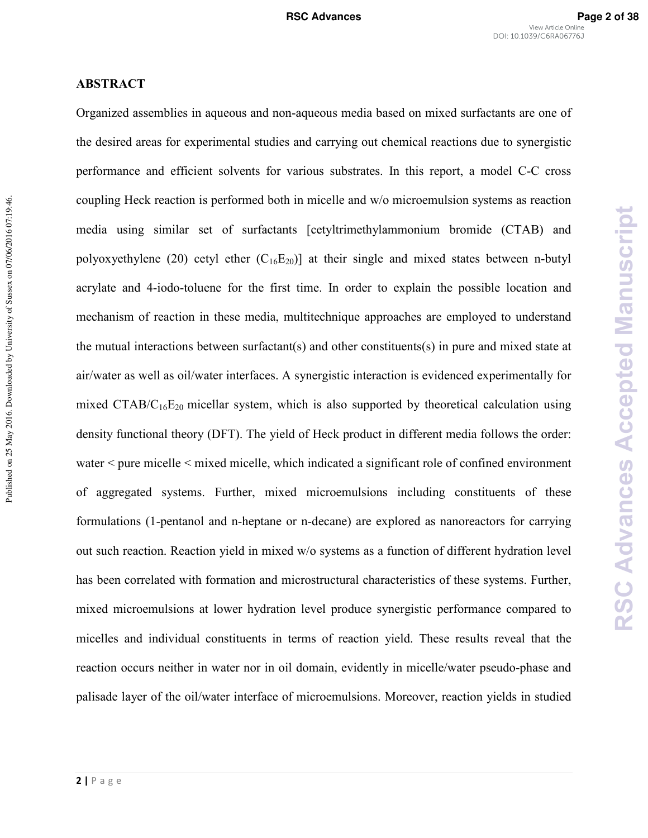# **ABSTRACT**

Organized assemblies in aqueous and non#aqueous media based on mixed surfactants are one of the desired areas for experimental studies and carrying out chemical reactions due to synergistic performance and efficient solvents for various substrates. In this report, a model C#C cross coupling Heck reaction is performed both in micelle and w/o microemulsion systems as reaction media using similar set of surfactants [cetyltrimethylammonium bromide (CTAB) and polyoxyethylene (20) cetyl ether  $(C_{16}E_{20})$  at their single and mixed states between n-butyl acrylate and 4-iodo-toluene for the first time. In order to explain the possible location and mechanism of reaction in these media, multitechnique approaches are employed to understand the mutual interactions between surfactant(s) and other constituents(s) in pure and mixed state at air/water as well as oil/water interfaces. A synergistic interaction is evidenced experimentally for mixed CTAB/ $C_{16}E_{20}$  micellar system, which is also supported by theoretical calculation using density functional theory (DFT). The yield of Heck product in different media follows the order: water < pure micelle < mixed micelle, which indicated a significant role of confined environment of aggregated systems. Further, mixed microemulsions including constituents of these formulations (1-pentanol and n-heptane or n-decane) are explored as nanoreactors for carrying out such reaction. Reaction yield in mixed w/o systems as a function of different hydration level has been correlated with formation and microstructural characteristics of these systems. Further, mixed microemulsions at lower hydration level produce synergistic performance compared to micelles and individual constituents in terms of reaction yield. These results reveal that the reaction occurs neither in water nor in oil domain, evidently in micelle/water pseudo-phase and palisade layer of the oil/water interface of microemulsions. Moreover, reaction yields in studied

Published on 25 May 2016. Downloaded by University of Sussex on 07/06/2016 07:19:46.

Published on 25 May 2016. Downloaded by University of Sussex on 07/06/2016 07:19:46.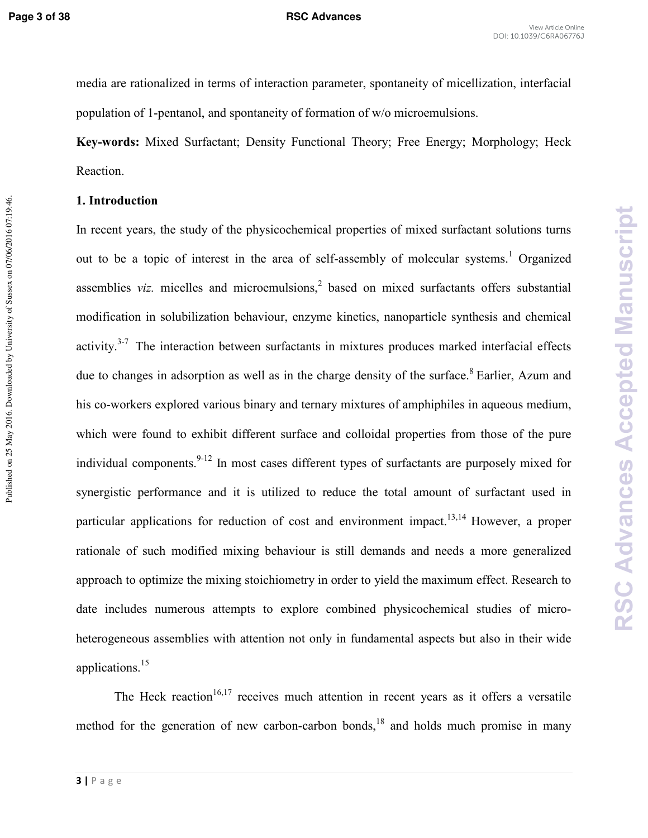Published on 25 May 2016. Downloaded by University of Sussex on 07/06/2016 07:19:46.

media are rationalized in terms of interaction parameter, spontaneity of micellization, interfacial population of 1-pentanol, and spontaneity of formation of w/o microemulsions.

**Keywords:** Mixed Surfactant; Density Functional Theory; Free Energy; Morphology; Heck Reaction.

### **1. Introduction**

In recent years, the study of the physicochemical properties of mixed surfactant solutions turns out to be a topic of interest in the area of self-assembly of molecular systems.<sup>1</sup> Organized assemblies *viz.* micelles and microemulsions,<sup>2</sup> based on mixed surfactants offers substantial modification in solubilization behaviour, enzyme kinetics, nanoparticle synthesis and chemical activity. $3-7$  The interaction between surfactants in mixtures produces marked interfacial effects due to changes in adsorption as well as in the charge density of the surface.<sup>8</sup> Earlier, Azum and his co-workers explored various binary and ternary mixtures of amphiphiles in aqueous medium, which were found to exhibit different surface and colloidal properties from those of the pure individual components.  $9-12$  In most cases different types of surfactants are purposely mixed for synergistic performance and it is utilized to reduce the total amount of surfactant used in particular applications for reduction of cost and environment impact.<sup>13,14</sup> However, a proper rationale of such modified mixing behaviour is still demands and needs a more generalized approach to optimize the mixing stoichiometry in order to yield the maximum effect. Research to date includes numerous attempts to explore combined physicochemical studies of microheterogeneous assemblies with attention not only in fundamental aspects but also in their wide applications.<sup>15</sup>

The Heck reaction<sup>16,17</sup> receives much attention in recent years as it offers a versatile method for the generation of new carbon-carbon bonds, $18$  and holds much promise in many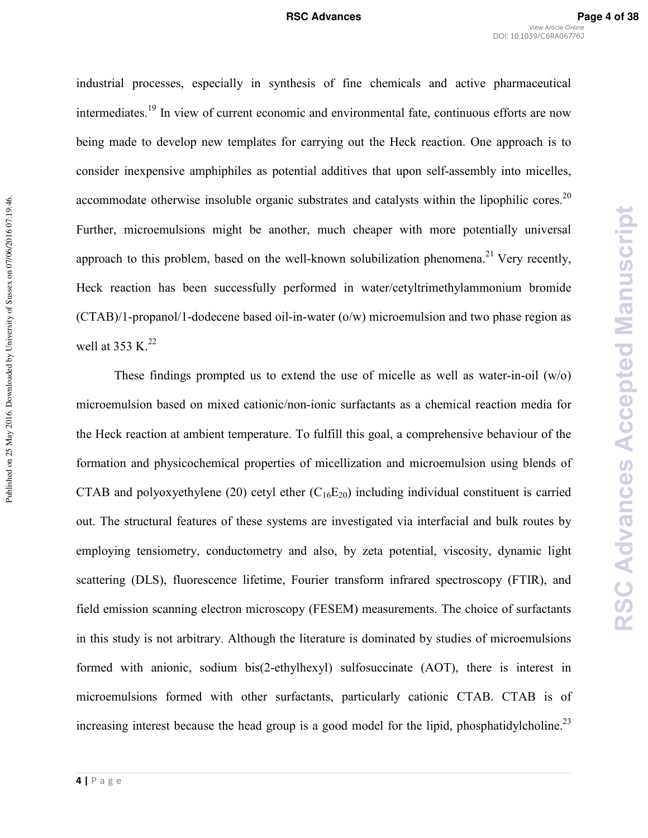industrial processes, especially in synthesis of fine chemicals and active pharmaceutical intermediates.<sup>19</sup> In view of current economic and environmental fate, continuous efforts are now being made to develop new templates for carrying out the Heck reaction. One approach is to consider inexpensive amphiphiles as potential additives that upon self-assembly into micelles, accommodate otherwise insoluble organic substrates and catalysts within the lipophilic cores.<sup>20</sup> Further, microemulsions might be another, much cheaper with more potentially universal approach to this problem, based on the well-known solubilization phenomena.<sup>21</sup> Very recently, Heck reaction has been successfully performed in water/cetyltrimethylammonium bromide  $(CTAB)/1$ -propanol/1-dodecene based oil-in-water (o/w) microemulsion and two phase region as well at 353 K. $^{22}$ 

These findings prompted us to extend the use of micelle as well as water-in-oil  $(w/o)$ microemulsion based on mixed cationic/non-ionic surfactants as a chemical reaction media for the Heck reaction at ambient temperature. To fulfill this goal, a comprehensive behaviour of the formation and physicochemical properties of micellization and microemulsion using blends of CTAB and polyoxyethylene (20) cetyl ether  $(C_{16}E_{20})$  including individual constituent is carried out. The structural features of these systems are investigated via interfacial and bulk routes by employing tensiometry, conductometry and also, by zeta potential, viscosity, dynamic light scattering (DLS), fluorescence lifetime, Fourier transform infrared spectroscopy (FTIR), and field emission scanning electron microscopy (FESEM) measurements. The choice of surfactants in this study is not arbitrary. Although the literature is dominated by studies of microemulsions formed with anionic, sodium bis(2-ethylhexyl) sulfosuccinate (AOT), there is interest in microemulsions formed with other surfactants, particularly cationic CTAB. CTAB is of increasing interest because the head group is a good model for the lipid, phosphatidylcholine.<sup>23</sup>

Published on 25 May 2016. Downloaded by University of Sussex on 07/06/2016 07:19:46.

Published on 25 May 2016. Downloaded by University of Sussex on 07/06/2016 07:19:46.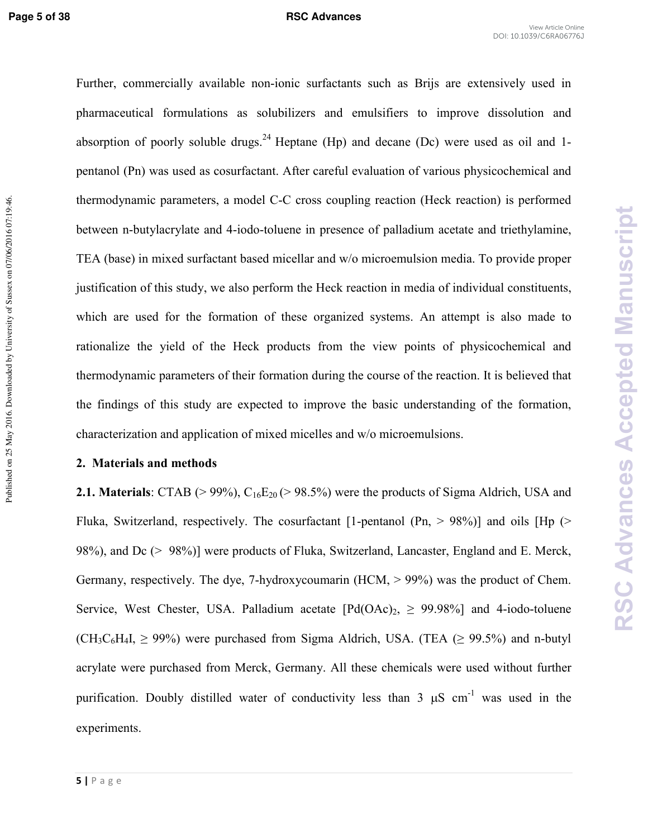Published on 25 May 2016. Downloaded by University of Sussex on 07/06/2016 07:19:46.

### **Page 5 of 38 RSC Advances**

Further, commercially available non-ionic surfactants such as Brijs are extensively used in pharmaceutical formulations as solubilizers and emulsifiers to improve dissolution and absorption of poorly soluble drugs.<sup>24</sup> Heptane (Hp) and decane (Dc) were used as oil and 1pentanol (Pn) was used as cosurfactant. After careful evaluation of various physicochemical and thermodynamic parameters, a model C-C cross coupling reaction (Heck reaction) is performed between n-butylacrylate and 4-iodo-toluene in presence of palladium acetate and triethylamine, TEA (base) in mixed surfactant based micellar and w/o microemulsion media. To provide proper justification of this study, we also perform the Heck reaction in media of individual constituents, which are used for the formation of these organized systems. An attempt is also made to rationalize the yield of the Heck products from the view points of physicochemical and thermodynamic parameters of their formation during the course of the reaction. It is believed that the findings of this study are expected to improve the basic understanding of the formation, characterization and application of mixed micelles and w/o microemulsions.

# **2. Materials and methods**

**2.1. Materials**: CTAB ( $> 99\%$ ), C<sub>16</sub>E<sub>20</sub> ( $> 98.5\%$ ) were the products of Sigma Aldrich, USA and Fluka, Switzerland, respectively. The cosurfactant [1-pentanol (Pn,  $> 98\%$ )] and oils [Hp ( $>$ 98%), and Dc (> 98%)] were products of Fluka, Switzerland, Lancaster, England and E. Merck, Germany, respectively. The dye, 7-hydroxycoumarin (HCM,  $> 99\%$ ) was the product of Chem. Service, West Chester, USA. Palladium acetate  $[Pd(OAc)_2] \geq 99.98\%$  and 4-iodo-toluene  $(CH_3C_6H_4I) \geq 99\%$  were purchased from Sigma Aldrich, USA. (TEA ( $\geq 99.5\%$ ) and n-butyl acrylate were purchased from Merck, Germany. All these chemicals were used without further purification. Doubly distilled water of conductivity less than  $3 \text{ uS} \text{ cm}^{-1}$  was used in the experiments.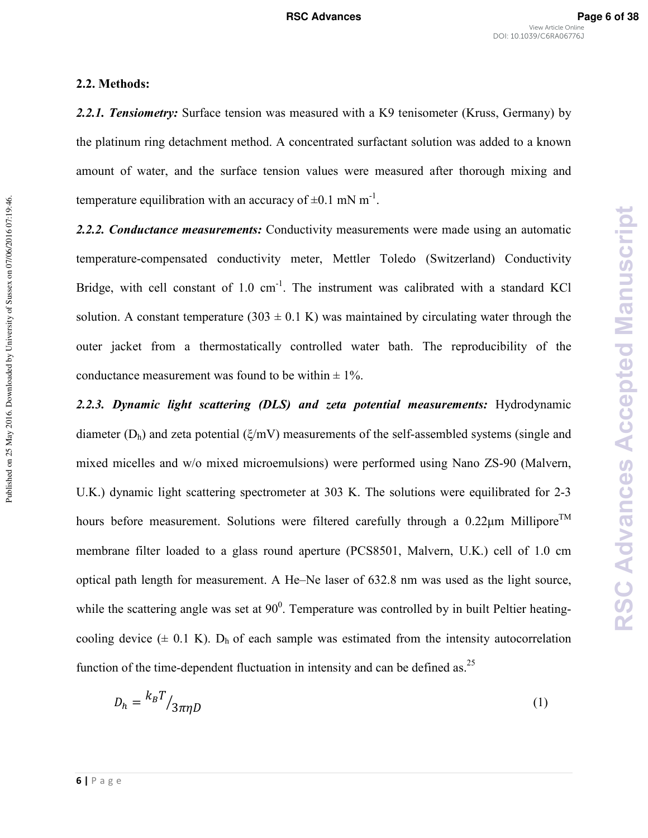# **2.2. Methods:**

Published on 25 May 2016. Downloaded by University of Sussex on 07/06/2016 07:19:46.

Published on 25 May 2016. Downloaded by University of Sussex on 07/06/2016 07:19:46.

2.2.1. Tensiometry: Surface tension was measured with a K9 tenisometer (Kruss, Germany) by the platinum ring detachment method. A concentrated surfactant solution was added to a known amount of water, and the surface tension values were measured after thorough mixing and temperature equilibration with an accuracy of  $\pm 0.1$  mN m<sup>-1</sup>.

2.2.2. Conductance measurements: Conductivity measurements were made using an automatic temperature#compensated conductivity meter, Mettler Toledo (Switzerland) Conductivity Bridge, with cell constant of  $1.0 \text{ cm}^{-1}$ . The instrument was calibrated with a standard KCl solution. A constant temperature (303  $\pm$  0.1 K) was maintained by circulating water through the outer jacket from a thermostatically controlled water bath. The reproducibility of the conductance measurement was found to be within  $\pm$  1%.

2.2.3. Dynamic light scattering (DLS) and zeta potential measurements: Hydrodynamic diameter  $(D_h)$  and zeta potential ( $\zeta/mV$ ) measurements of the self-assembled systems (single and mixed micelles and w/o mixed microemulsions) were performed using Nano ZS-90 (Malvern, U.K.) dynamic light scattering spectrometer at 303 K. The solutions were equilibrated for 2-3 hours before measurement. Solutions were filtered carefully through a  $0.22 \mu m$  Millipore<sup>TM</sup> membrane filter loaded to a glass round aperture (PCS8501, Malvern, U.K.) cell of 1.0 cm optical path length for measurement. A He–Ne laser of 632.8 nm was used as the light source, while the scattering angle was set at  $90^\circ$ . Temperature was controlled by in built Peltier heatingcooling device  $(± 0.1 K)$ . D<sub>h</sub> of each sample was estimated from the intensity autocorrelation function of the time-dependent fluctuation in intensity and can be defined as.<sup>25</sup>

$$
D_h = \frac{k_B T}{3 \pi \eta D} \tag{1}
$$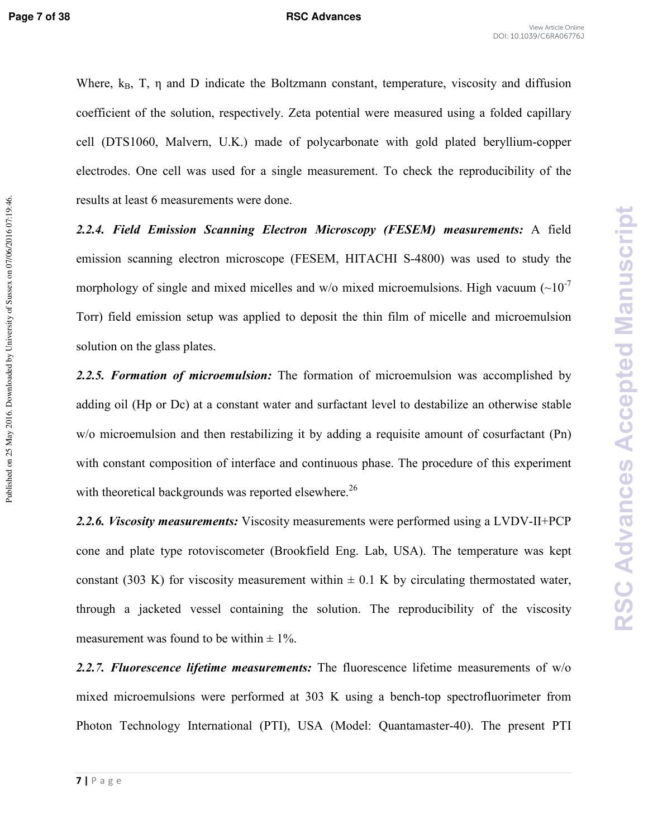Published on 25 May 2016. Downloaded by University of Sussex on 07/06/2016 07:19:46.

Where,  $k_B$ , T,  $\eta$  and D indicate the Boltzmann constant, temperature, viscosity and diffusion coefficient of the solution, respectively. Zeta potential were measured using a folded capillary cell (DTS1060, Malvern, U.K.) made of polycarbonate with gold plated beryllium-copper electrodes. One cell was used for a single measurement. To check the reproducibility of the results at least 6 measurements were done.

2.2.4. Field Emission Scanning Electron Microscopy (FESEM) measurements: A field emission scanning electron microscope (FESEM, HITACHI S-4800) was used to study the morphology of single and mixed micelles and w/o mixed microemulsions. High vacuum  $(\sim 10^{-7}$ Torr) field emission setup was applied to deposit the thin film of micelle and microemulsion solution on the glass plates.

2.2.5. Formation of microemulsion: The formation of microemulsion was accomplished by adding oil (Hp or Dc) at a constant water and surfactant level to destabilize an otherwise stable w/o microemulsion and then restabilizing it by adding a requisite amount of cosurfactant (Pn) with constant composition of interface and continuous phase. The procedure of this experiment with theoretical backgrounds was reported elsewhere.<sup>26</sup>

2.2.6. Viscosity measurements: Viscosity measurements were performed using a LVDV-II+PCP cone and plate type rotoviscometer (Brookfield Eng. Lab, USA). The temperature was kept constant (303 K) for viscosity measurement within  $\pm$  0.1 K by circulating thermostated water, through a jacketed vessel containing the solution. The reproducibility of the viscosity measurement was found to be within  $\pm$  1%.

2.2.7. **Fluorescence lifetime measurements:** The fluorescence lifetime measurements of w/o mixed microemulsions were performed at 303 K using a bench-top spectrofluorimeter from Photon Technology International (PTI), USA (Model: Quantamaster-40). The present PTI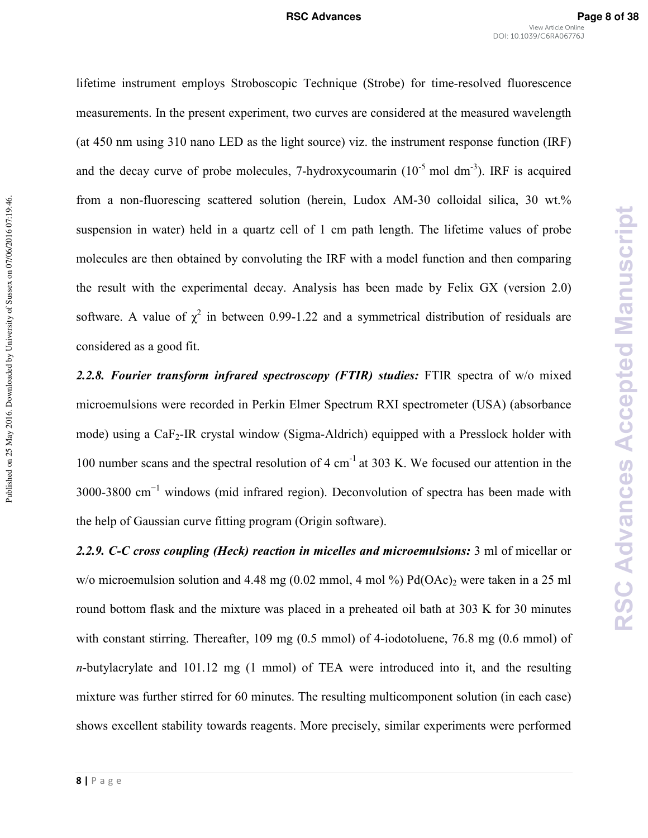**RSC Advances Accepted Manuscript**

**RSC Advances Accepted Manuscript** 

lifetime instrument employs Stroboscopic Technique (Strobe) for time-resolved fluorescence measurements. In the present experiment, two curves are considered at the measured wavelength (at 450 nm using 310 nano LED as the light source) viz. the instrument response function (IRF) and the decay curve of probe molecules, 7-hydroxycoumarin ( $10^{-5}$  mol dm<sup>-3</sup>). IRF is acquired from a non-fluorescing scattered solution (herein, Ludox AM-30 colloidal silica, 30 wt.% suspension in water) held in a quartz cell of 1 cm path length. The lifetime values of probe molecules are then obtained by convoluting the IRF with a model function and then comparing the result with the experimental decay. Analysis has been made by Felix GX (version 2.0) software. A value of  $\chi^2$  in between 0.99-1.22 and a symmetrical distribution of residuals are considered as a good fit.

2.2.8. Fourier transform infrared spectroscopy (FTIR) studies: FTIR spectra of w/o mixed microemulsions were recorded in Perkin Elmer Spectrum RXI spectrometer (USA) (absorbance mode) using a  $CaF<sub>2</sub>$ -IR crystal window (Sigma-Aldrich) equipped with a Presslock holder with 100 number scans and the spectral resolution of 4  $cm^{-1}$  at 303 K. We focused our attention in the 3000-3800 cm<sup>-1</sup> windows (mid infrared region). Deconvolution of spectra has been made with the help of Gaussian curve fitting program (Origin software).

2.2.9. C-C cross coupling (Heck) reaction in micelles and microemulsions: 3 ml of micellar or w/o microemulsion solution and  $4.48 \text{ mg } (0.02 \text{ mmol}, 4 \text{ mol } \%)$  Pd(OAc)<sub>2</sub> were taken in a 25 ml round bottom flask and the mixture was placed in a preheated oil bath at 303 K for 30 minutes with constant stirring. Thereafter,  $109 \text{ mg } (0.5 \text{ mmol})$  of 4-iodotoluene,  $76.8 \text{ mg } (0.6 \text{ mmol})$  of *n*-butylacrylate and 101.12 mg (1 mmol) of TEA were introduced into it, and the resulting mixture was further stirred for 60 minutes. The resulting multicomponent solution (in each case) shows excellent stability towards reagents. More precisely, similar experiments were performed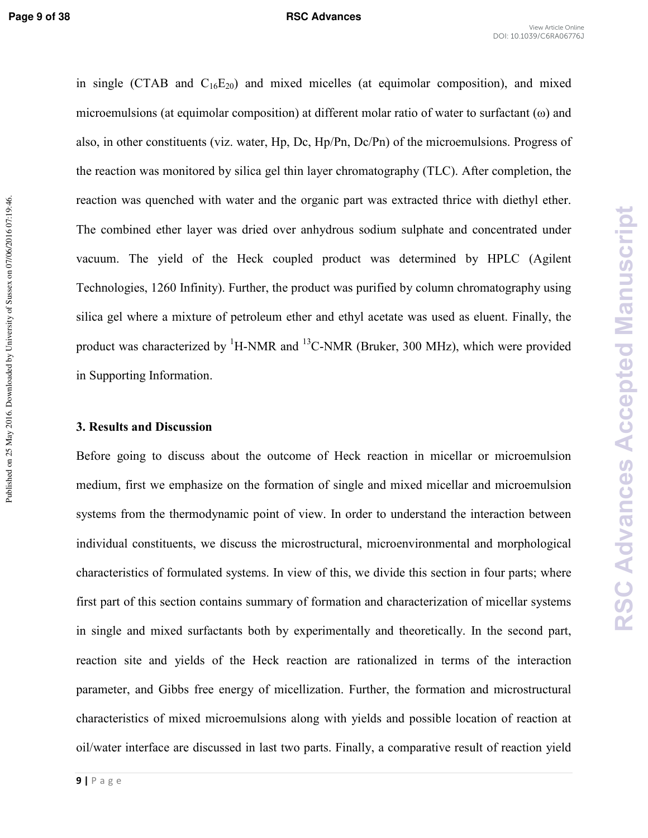### **Page 9 of 38 RSC Advances**

**RSC Advances Accepted Manuscript**

**RSC Advances Accepted Manuscript** 

in single (CTAB and  $C_{16}E_{20}$ ) and mixed micelles (at equimolar composition), and mixed microemulsions (at equimolar composition) at different molar ratio of water to surfactant (ω) and also, in other constituents (viz. water, Hp, Dc, Hp/Pn, Dc/Pn) of the microemulsions. Progress of the reaction was monitored by silica gel thin layer chromatography (TLC). After completion, the reaction was quenched with water and the organic part was extracted thrice with diethyl ether. The combined ether layer was dried over anhydrous sodium sulphate and concentrated under vacuum. The yield of the Heck coupled product was determined by HPLC (Agilent Technologies, 1260 Infinity). Further, the product was purified by column chromatography using silica gel where a mixture of petroleum ether and ethyl acetate was used as eluent. Finally, the product was characterized by  ${}^{1}$ H-NMR and  ${}^{13}$ C-NMR (Bruker, 300 MHz), which were provided in Supporting Information.

### **3. Results and Discussion**

Before going to discuss about the outcome of Heck reaction in micellar or microemulsion medium, first we emphasize on the formation of single and mixed micellar and microemulsion systems from the thermodynamic point of view. In order to understand the interaction between individual constituents, we discuss the microstructural, microenvironmental and morphological characteristics of formulated systems. In view of this, we divide this section in four parts; where first part of this section contains summary of formation and characterization of micellar systems in single and mixed surfactants both by experimentally and theoretically. In the second part, reaction site and yields of the Heck reaction are rationalized in terms of the interaction parameter, and Gibbs free energy of micellization. Further, the formation and microstructural characteristics of mixed microemulsions along with yields and possible location of reaction at oil/water interface are discussed in last two parts. Finally, a comparative result of reaction yield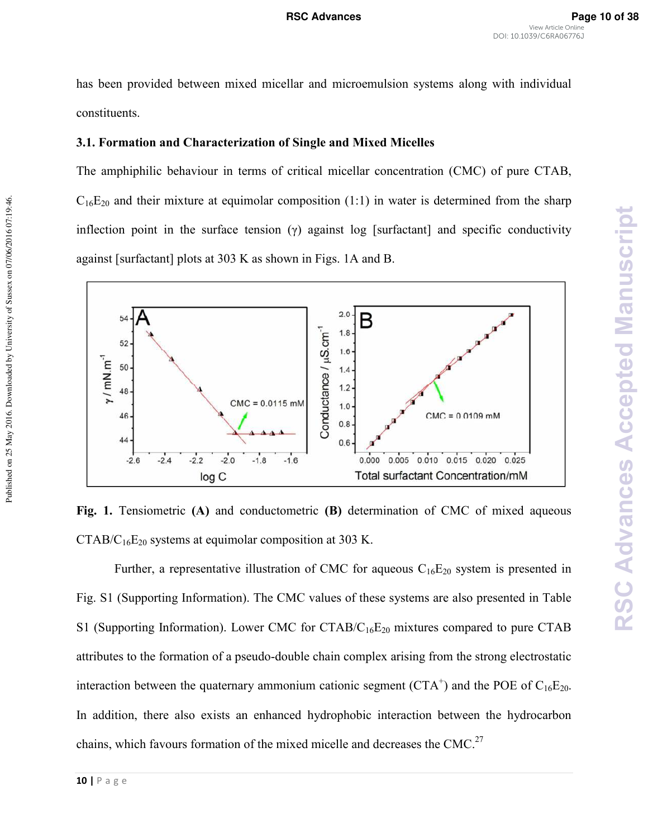has been provided between mixed micellar and microemulsion systems along with individual constituents.

# **3.1. Formation and Characterization of Single and Mixed Micelles**

The amphiphilic behaviour in terms of critical micellar concentration (CMC) of pure CTAB,  $C_{16}E_{20}$  and their mixture at equimolar composition (1:1) in water is determined from the sharp inflection point in the surface tension  $(y)$  against log [surfactant] and specific conductivity against [surfactant] plots at 303 K as shown in Figs. 1A and B.



**Fig. 1.** Tensiometric **(A)** and conductometric **(B)** determination of CMC of mixed aqueous  $CTAB/C_{16}E_{20}$  systems at equimolar composition at 303 K.

Further, a representative illustration of CMC for aqueous  $C_{16}E_{20}$  system is presented in Fig. S1 (Supporting Information). The CMC values of these systems are also presented in Table S1 (Supporting Information). Lower CMC for  $CTAB/C_{16}E_{20}$  mixtures compared to pure CTAB attributes to the formation of a pseudo-double chain complex arising from the strong electrostatic interaction between the quaternary ammonium cationic segment ( $CTA^+$ ) and the POE of  $C_{16}E_{20}$ . In addition, there also exists an enhanced hydrophobic interaction between the hydrocarbon chains, which favours formation of the mixed micelle and decreases the CMC.<sup>27</sup>

Published on 25 May 2016. Downloaded by University of Sussex on 07/06/2016 07:19:46.

Published on 25 May 2016. Downloaded by University of Sussex on 07/06/2016 07:19:46.

**10 |** P a g e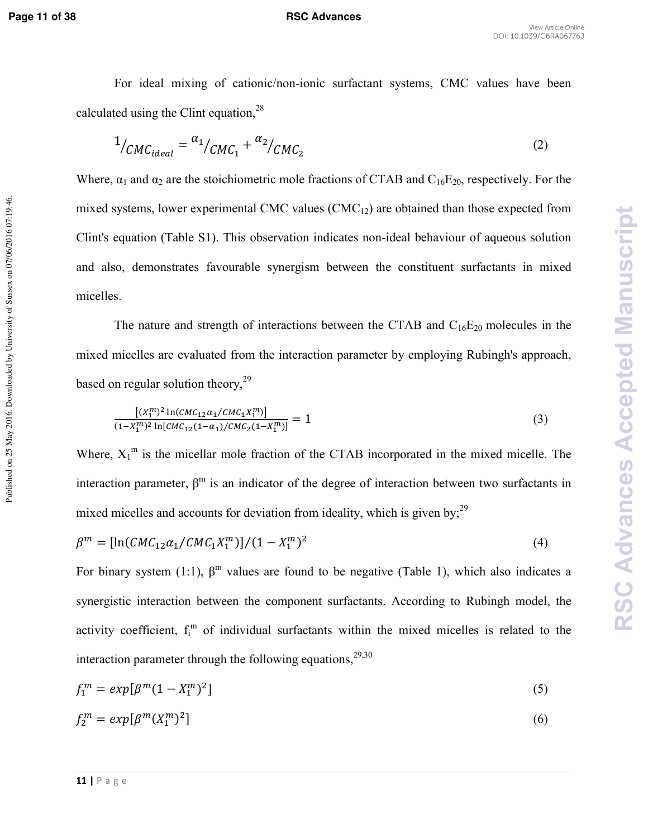Published on 25 May 2016. Downloaded by University of Sussex on 07/06/2016 07:19:46.

### View Article Online DOI: 10.1039/C6RA06776J

For ideal mixing of cationic/non-ionic surfactant systems, CMC values have been calculated using the Clint equation, $28$ 

$$
1_{/CMC_{ideal}} = \alpha_1_{/CMC_1} + \alpha_2_{/CMC_2}
$$
 (2)

Where,  $\alpha_1$  and  $\alpha_2$  are the stoichiometric mole fractions of CTAB and C<sub>16</sub>E<sub>20</sub>, respectively. For the mixed systems, lower experimental CMC values  $(CMC_{12})$  are obtained than those expected from Clint's equation (Table S1). This observation indicates non-ideal behaviour of aqueous solution and also, demonstrates favourable synergism between the constituent surfactants in mixed micelles.

The nature and strength of interactions between the CTAB and  $C_{16}E_{20}$  molecules in the mixed micelles are evaluated from the interaction parameter by employing Rubingh's approach, based on regular solution theory, $^{29}$ 

$$
\frac{\left[ (X_1^m)^2 \ln (CMC_{12} \alpha_1 / CMC_1 X_1^m) \right]}{(1 - X_1^m)^2 \ln [CMC_{12}(1 - \alpha_1) / CMC_2(1 - X_1^m)]} = 1
$$
\n(3)

Where,  $X_1^m$  is the micellar mole fraction of the CTAB incorporated in the mixed micelle. The interaction parameter,  $\beta^m$  is an indicator of the degree of interaction between two surfactants in mixed micelles and accounts for deviation from ideality, which is given by;<sup>29</sup>

$$
\beta^{m} = [\ln(CMC_{12}\alpha_1/CMC_1X_1^m)]/(1 - X_1^m)^2
$$
\n(4)

For binary system (1:1),  $\beta^m$  values are found to be negative (Table 1), which also indicates a synergistic interaction between the component surfactants. According to Rubingh model, the activity coefficient,  $f_i^m$  of individual surfactants within the mixed micelles is related to the interaction parameter through the following equations,  $29,30$ 

$$
f_1^m = exp[\beta^m (1 - X_1^m)^2]
$$
\n(5)

$$
f_2^m = exp[\beta^m(X_1^m)^2]
$$
 (6)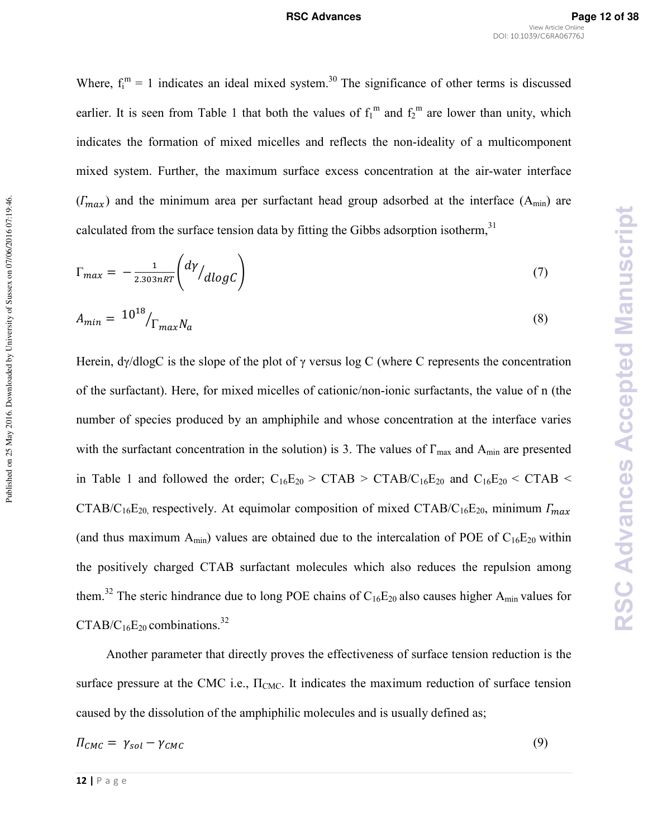**RSC Advances Accepted Manuscript**

**RSC Advances Accepted Manuscript** 

Where,  $f_i^m = 1$  indicates an ideal mixed system.<sup>30</sup> The significance of other terms is discussed earlier. It is seen from Table 1 that both the values of  $f_1^m$  and  $f_2^m$  are lower than unity, which indicates the formation of mixed micelles and reflects the non-ideality of a multicomponent mixed system. Further, the maximum surface excess concentration at the air-water interface  $(T_{max})$  and the minimum area per surfactant head group adsorbed at the interface (A<sub>min</sub>) are calculated from the surface tension data by fitting the Gibbs adsorption isotherm, $31$ 

$$
\Gamma_{max} = -\frac{1}{2.303nRT} \left( \frac{d\gamma}{dlogC} \right) \tag{7}
$$

$$
A_{min} = \left.10^{18}\right/_{\Gamma_{max} N_a} \tag{8}
$$

Herein,  $d\gamma/d\log C$  is the slope of the plot of  $\gamma$  versus log C (where C represents the concentration of the surfactant). Here, for mixed micelles of cationic/non-ionic surfactants, the value of n (the number of species produced by an amphiphile and whose concentration at the interface varies with the surfactant concentration in the solution) is 3. The values of  $\Gamma_{\text{max}}$  and  $A_{\text{min}}$  are presented in Table 1 and followed the order;  $C_{16}E_{20} > CTAB > CTAB/C_{16}E_{20}$  and  $C_{16}E_{20} < CTAB <$ CTAB/C<sub>16</sub>E<sub>20,</sub> respectively. At equimolar composition of mixed CTAB/C<sub>16</sub>E<sub>20</sub>, minimum  $\Gamma_{max}$ (and thus maximum  $A_{min}$ ) values are obtained due to the intercalation of POE of  $C_{16}E_{20}$  within the positively charged CTAB surfactant molecules which also reduces the repulsion among them.<sup>32</sup> The steric hindrance due to long POE chains of  $C_{16}E_{20}$  also causes higher A<sub>min</sub> values for  $CTAB/C_{16}E_{20}$  combinations.<sup>32</sup>

Another parameter that directly proves the effectiveness of surface tension reduction is the surface pressure at the CMC i.e.,  $\Pi_{CMC}$ . It indicates the maximum reduction of surface tension caused by the dissolution of the amphiphilic molecules and is usually defined as;

$$
\Pi_{CMC} = \gamma_{sol} - \gamma_{CMC} \tag{9}
$$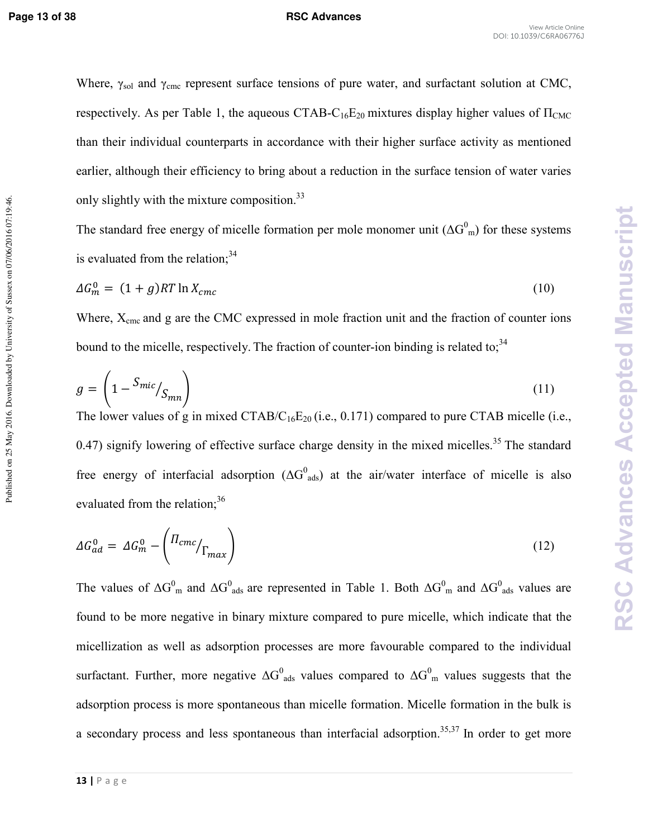Published on 25 May 2016. Downloaded by University of Sussex on 07/06/2016 07:19:46.

### **Page 13 of 38 RSC Advances**

Where,  $\gamma_{sol}$  and  $\gamma_{cmc}$  represent surface tensions of pure water, and surfactant solution at CMC, respectively. As per Table 1, the aqueous CTAB-C<sub>16</sub>E<sub>20</sub> mixtures display higher values of  $\Pi_{CMC}$ than their individual counterparts in accordance with their higher surface activity as mentioned earlier, although their efficiency to bring about a reduction in the surface tension of water varies only slightly with the mixture composition.<sup>33</sup>

The standard free energy of micelle formation per mole monomer unit  $(\Delta G<sup>0</sup><sub>m</sub>)$  for these systems is evaluated from the relation; $34$ 

$$
\Delta G_m^0 = (1+g)RT \ln X_{cmc} \tag{10}
$$

Where,  $X_{\text{cme}}$  and g are the CMC expressed in mole fraction unit and the fraction of counter ions bound to the micelle, respectively. The fraction of counter-ion binding is related to;<sup>34</sup>

$$
g = \left(1 - \frac{S_{mic}}{S_{mn}}\right) \tag{11}
$$

The lower values of g in mixed  $CTAB/C_{16}E_{20}$  (i.e., 0.171) compared to pure CTAB micelle (i.e., 0.47) signify lowering of effective surface charge density in the mixed micelles.<sup>35</sup> The standard free energy of interfacial adsorption  $(\Delta G^0_{ads})$  at the air/water interface of micelle is also evaluated from the relation; $36$ 

$$
\Delta G_{ad}^0 = \Delta G_m^0 - \left(\frac{\Pi_{cmc}}{\Gamma_{max}}\right) \tag{12}
$$

The values of  $\Delta G_{m}^{0}$  and  $\Delta G_{ads}^{0}$  are represented in Table 1. Both  $\Delta G_{m}^{0}$  and  $\Delta G_{ads}^{0}$  values are found to be more negative in binary mixture compared to pure micelle, which indicate that the micellization as well as adsorption processes are more favourable compared to the individual surfactant. Further, more negative  $\Delta G^0_{ads}$  values compared to  $\Delta G^0_{ms}$  values suggests that the adsorption process is more spontaneous than micelle formation. Micelle formation in the bulk is a secondary process and less spontaneous than interfacial adsorption. $35,37$  In order to get more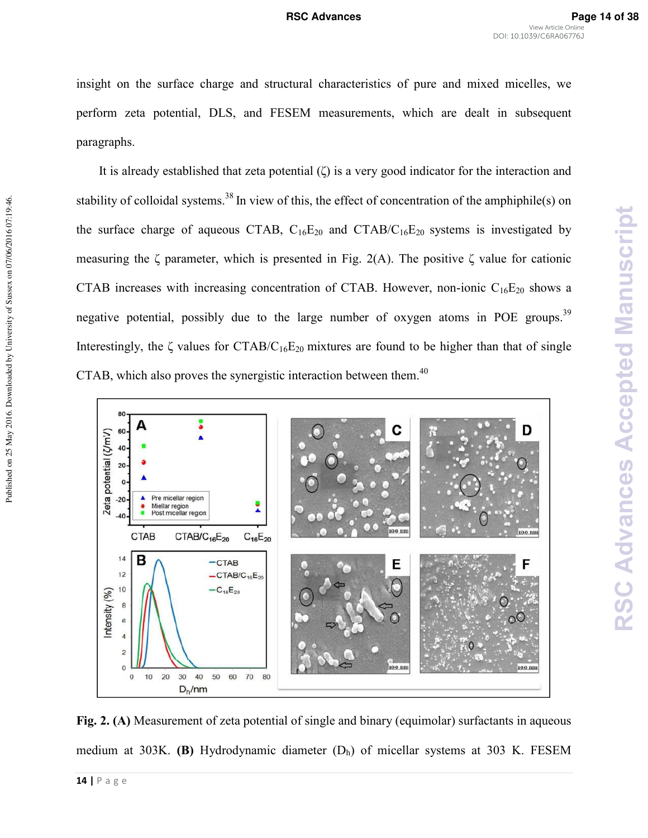insight on the surface charge and structural characteristics of pure and mixed micelles, we perform zeta potential, DLS, and FESEM measurements, which are dealt in subsequent paragraphs.

It is already established that zeta potential (ζ) is a very good indicator for the interaction and stability of colloidal systems.<sup>38</sup> In view of this, the effect of concentration of the amphiphile(s) on the surface charge of aqueous CTAB,  $C_{16}E_{20}$  and CTAB/ $C_{16}E_{20}$  systems is investigated by measuring the  $\zeta$  parameter, which is presented in Fig. 2(A). The positive  $\zeta$  value for cationic CTAB increases with increasing concentration of CTAB. However, non-ionic  $C_{16}E_{20}$  shows a negative potential, possibly due to the large number of oxygen atoms in POE groups.<sup>39</sup> Interestingly, the  $\zeta$  values for CTAB/C<sub>16</sub>E<sub>20</sub> mixtures are found to be higher than that of single CTAB, which also proves the synergistic interaction between them.<sup>40</sup>



**Fig. 2. (A)** Measurement of zeta potential of single and binary (equimolar) surfactants in aqueous medium at 303K. **(B)** Hydrodynamic diameter (Dh) of micellar systems at 303 K. FESEM

Published on 25 May 2016. Downloaded by University of Sussex on 07/06/2016 07:19:46.

Published on 25 May 2016. Downloaded by University of Sussex on 07/06/2016 07:19:46.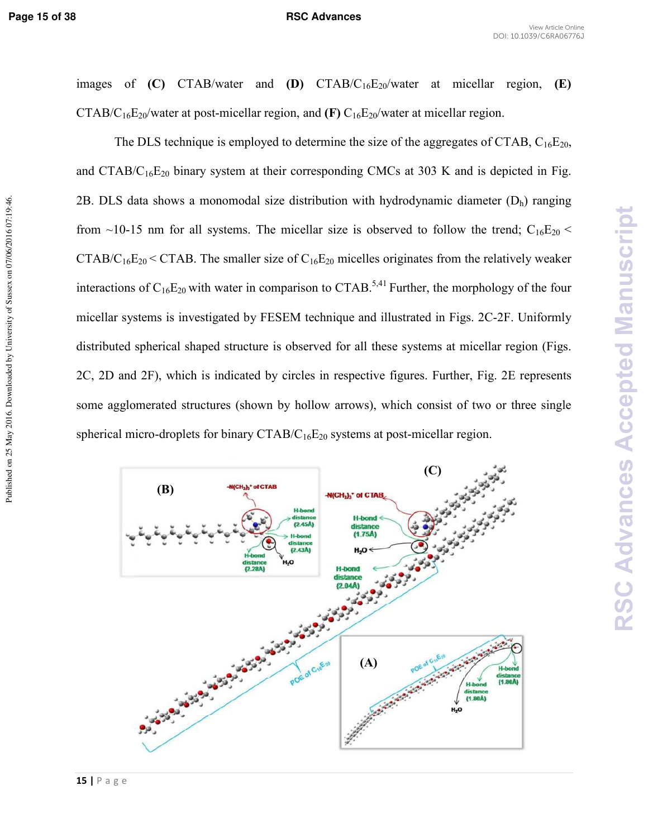Published on 25 May 2016. Downloaded by University of Sussex on 07/06/2016 07:19:46.

### **Page 15 of 38 RSC Advances**

images of **(C)** CTAB/water and **(D)** CTAB/C16E20/water at micellar region, **(E)**  $CTAB/C_{16}E_{20}/\text{water}$  at post-micellar region, and **(F)**  $C_{16}E_{20}/\text{water}$  at micellar region.

The DLS technique is employed to determine the size of the aggregates of CTAB,  $C_{16}E_{20}$ , and  $CTAB/C_{16}E_{20}$  binary system at their corresponding CMCs at 303 K and is depicted in Fig. 2B. DLS data shows a monomodal size distribution with hydrodynamic diameter  $(D_h)$  ranging from ~10-15 nm for all systems. The micellar size is observed to follow the trend;  $C_{16}E_{20}$  < CTAB/C<sub>16</sub>E<sub>20</sub> < CTAB. The smaller size of C<sub>16</sub>E<sub>20</sub> micelles originates from the relatively weaker interactions of  $C_{16}E_{20}$  with water in comparison to CTAB.<sup>5,41</sup> Further, the morphology of the four micellar systems is investigated by FESEM technique and illustrated in Figs. 2C-2F. Uniformly distributed spherical shaped structure is observed for all these systems at micellar region (Figs. 2C, 2D and 2F), which is indicated by circles in respective figures. Further, Fig. 2E represents some agglomerated structures (shown by hollow arrows), which consist of two or three single spherical micro-droplets for binary  $CTAB/C_{16}E_{20}$  systems at post-micellar region.

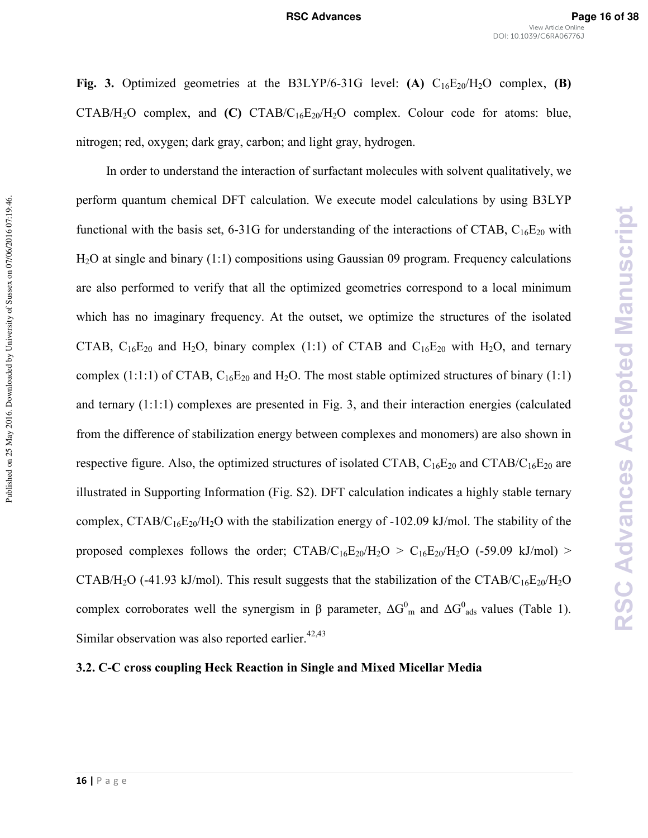**Fig. 3.** Optimized geometries at the B3LYP/6-31G level: **(A)**  $C_{16}E_{20}/H_{2}O$  complex, **(B)** CTAB/H<sub>2</sub>O complex, and **(C)** CTAB/C<sub>16</sub>E<sub>20</sub>/H<sub>2</sub>O complex. Colour code for atoms: blue, nitrogen; red, oxygen; dark gray, carbon; and light gray, hydrogen.

In order to understand the interaction of surfactant molecules with solvent qualitatively, we perform quantum chemical DFT calculation. We execute model calculations by using B3LYP functional with the basis set, 6-31G for understanding of the interactions of CTAB,  $C_{16}E_{20}$  with H2O at single and binary (1:1) compositions using Gaussian 09 program. Frequency calculations are also performed to verify that all the optimized geometries correspond to a local minimum which has no imaginary frequency. At the outset, we optimize the structures of the isolated CTAB,  $C_{16}E_{20}$  and H<sub>2</sub>O, binary complex (1:1) of CTAB and  $C_{16}E_{20}$  with H<sub>2</sub>O, and ternary complex (1:1:1) of CTAB,  $C_{16}E_{20}$  and H<sub>2</sub>O. The most stable optimized structures of binary (1:1) and ternary (1:1:1) complexes are presented in Fig. 3, and their interaction energies (calculated from the difference of stabilization energy between complexes and monomers) are also shown in respective figure. Also, the optimized structures of isolated CTAB,  $C_{16}E_{20}$  and CTAB/ $C_{16}E_{20}$  are illustrated in Supporting Information (Fig. S2). DFT calculation indicates a highly stable ternary complex,  $CTAB/C_{16}E_{20}/H_2O$  with the stabilization energy of -102.09 kJ/mol. The stability of the proposed complexes follows the order;  $CTAB/C_{16}E_{20}/H_2O > C_{16}E_{20}/H_2O$  (-59.09 kJ/mol) > CTAB/H<sub>2</sub>O (-41.93 kJ/mol). This result suggests that the stabilization of the CTAB/C<sub>16</sub>E<sub>20</sub>/H<sub>2</sub>O complex corroborates well the synergism in  $\beta$  parameter,  $\Delta G_{m}^{0}$  and  $\Delta G_{ads}^{0}$  values (Table 1). Similar observation was also reported earlier. $42,43$ 

# **3.2. CC cross coupling Heck Reaction in Single and Mixed Micellar Media**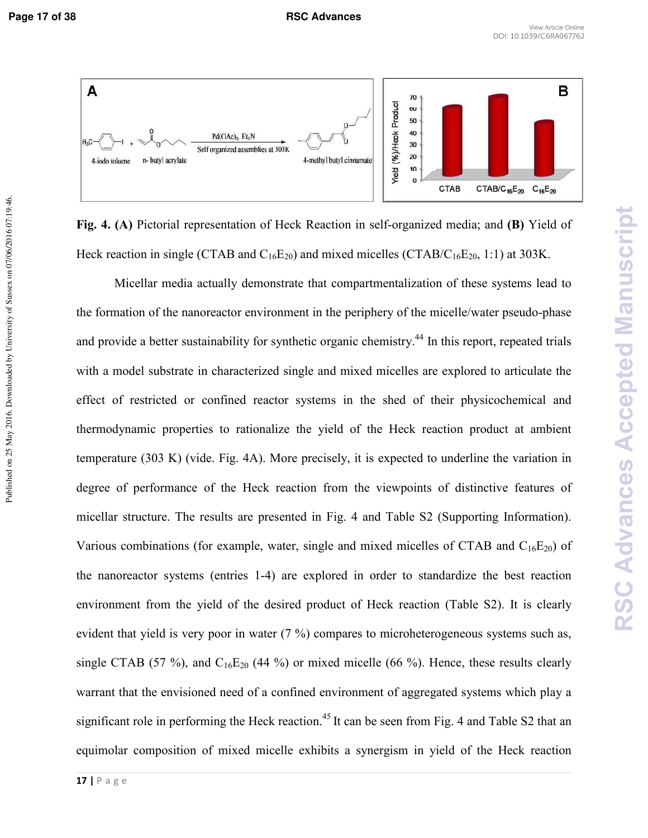Published on 25 May 2016. Downloaded by University of Sussex on 07/06/2016 07:19:46.



**Fig. 4. (A)** Pictorial representation of Heck Reaction in self-organized media; and **(B)** Yield of Heck reaction in single (CTAB and  $C_{16}E_{20}$ ) and mixed micelles (CTAB/C<sub>16</sub>E<sub>20</sub>, 1:1) at 303K.

Micellar media actually demonstrate that compartmentalization of these systems lead to the formation of the nanoreactor environment in the periphery of the micelle/water pseudo-phase and provide a better sustainability for synthetic organic chemistry.<sup>44</sup> In this report, repeated trials with a model substrate in characterized single and mixed micelles are explored to articulate the effect of restricted or confined reactor systems in the shed of their physicochemical and thermodynamic properties to rationalize the yield of the Heck reaction product at ambient temperature (303 K) (vide. Fig. 4A). More precisely, it is expected to underline the variation in degree of performance of the Heck reaction from the viewpoints of distinctive features of micellar structure. The results are presented in Fig. 4 and Table S2 (Supporting Information). Various combinations (for example, water, single and mixed micelles of CTAB and  $C_{16}E_{20}$ ) of the nanoreactor systems (entries 1-4) are explored in order to standardize the best reaction environment from the yield of the desired product of Heck reaction (Table S2). It is clearly evident that yield is very poor in water (7 %) compares to microheterogeneous systems such as, single CTAB (57 %), and  $C_{16}E_{20}$  (44 %) or mixed micelle (66 %). Hence, these results clearly warrant that the envisioned need of a confined environment of aggregated systems which play a significant role in performing the Heck reaction.<sup>45</sup> It can be seen from Fig. 4 and Table S2 that an equimolar composition of mixed micelle exhibits a synergism in yield of the Heck reaction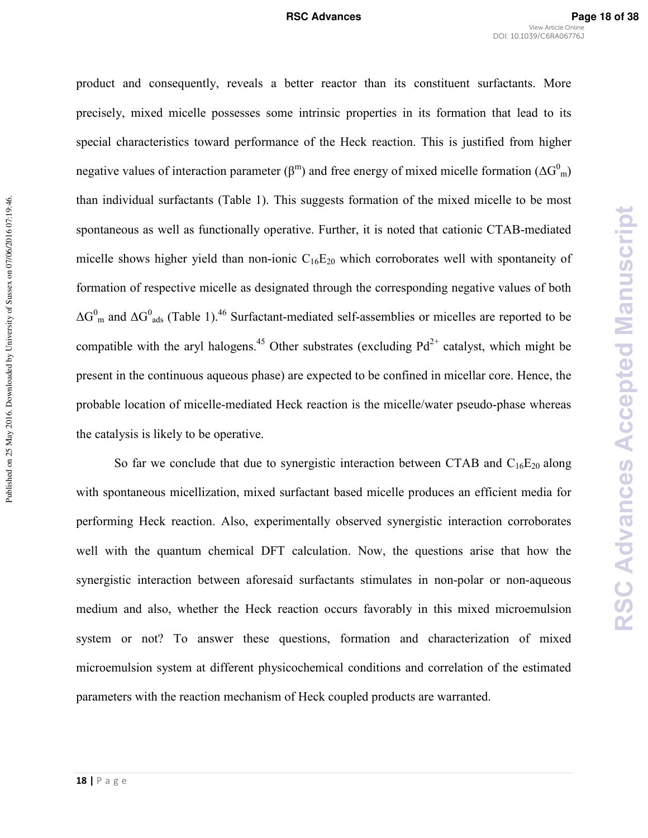product and consequently, reveals a better reactor than its constituent surfactants. More precisely, mixed micelle possesses some intrinsic properties in its formation that lead to its special characteristics toward performance of the Heck reaction. This is justified from higher negative values of interaction parameter ( $\beta^m$ ) and free energy of mixed micelle formation ( $\Delta G^0_{m}$ ) Published on 25 May 2016. Downloaded by University of Sussex on 07/06/2016 07:19:46. than individual surfactants (Table 1). This suggests formation of the mixed micelle to be most Published on 25 May 2016. Downloaded by University of Sussex on 07/06/2016 07:19:46. spontaneous as well as functionally operative. Further, it is noted that cationic CTAB-mediated micelle shows higher yield than non-ionic  $C_{16}E_{20}$  which corroborates well with spontaneity of formation of respective micelle as designated through the corresponding negative values of both  $\Delta G<sup>0</sup>$  and  $\Delta G<sup>0</sup>$ <sub>ads</sub> (Table 1).<sup>46</sup> Surfactant-mediated self-assemblies or micelles are reported to be compatible with the aryl halogens.<sup>45</sup> Other substrates (excluding  $Pd^{2+}$  catalyst, which might be present in the continuous aqueous phase) are expected to be confined in micellar core. Hence, the probable location of micelle-mediated Heck reaction is the micelle/water pseudo-phase whereas the catalysis is likely to be operative.

So far we conclude that due to synergistic interaction between CTAB and  $C_{16}E_{20}$  along with spontaneous micellization, mixed surfactant based micelle produces an efficient media for performing Heck reaction. Also, experimentally observed synergistic interaction corroborates well with the quantum chemical DFT calculation. Now, the questions arise that how the synergistic interaction between aforesaid surfactants stimulates in non-polar or non-aqueous medium and also, whether the Heck reaction occurs favorably in this mixed microemulsion system or not? To answer these questions, formation and characterization of mixed microemulsion system at different physicochemical conditions and correlation of the estimated parameters with the reaction mechanism of Heck coupled products are warranted.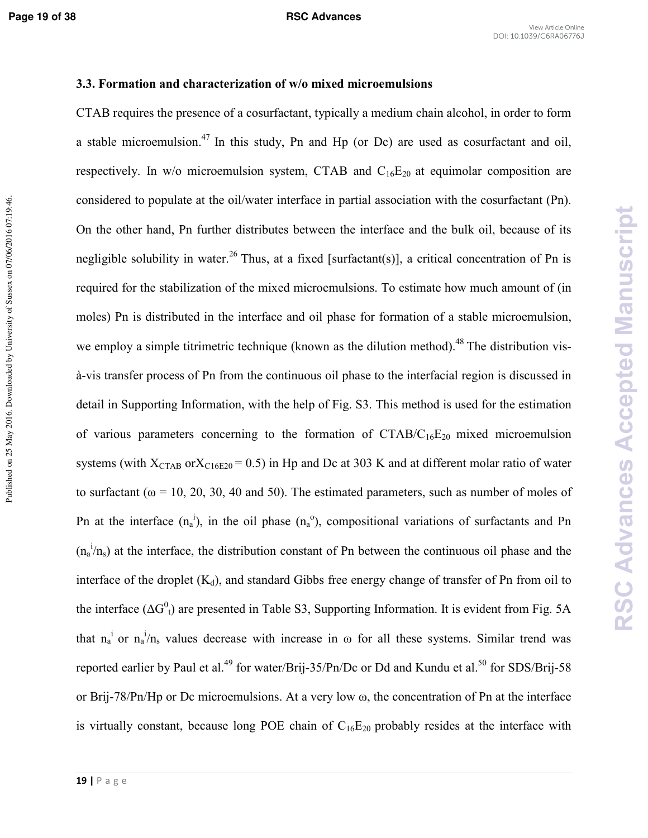Published on 25 May 2016. Downloaded by University of Sussex on 07/06/2016 07:19:46.

### **3.3. Formation and characterization of w/o mixed microemulsions**

CTAB requires the presence of a cosurfactant, typically a medium chain alcohol, in order to form a stable microemulsion.<sup>47</sup> In this study, Pn and Hp (or Dc) are used as cosurfactant and oil, respectively. In w/o microemulsion system, CTAB and  $C_{16}E_{20}$  at equimolar composition are considered to populate at the oil/water interface in partial association with the cosurfactant (Pn). On the other hand, Pn further distributes between the interface and the bulk oil, because of its negligible solubility in water.<sup>26</sup> Thus, at a fixed [surfactant(s)], a critical concentration of Pn is required for the stabilization of the mixed microemulsions. To estimate how much amount of (in moles) Pn is distributed in the interface and oil phase for formation of a stable microemulsion, we employ a simple titrimetric technique (known as the dilution method).<sup>48</sup> The distribution vis- $\alpha$ -vis transfer process of Pn from the continuous oil phase to the interfacial region is discussed in detail in Supporting Information, with the help of Fig. S3. This method is used for the estimation of various parameters concerning to the formation of  $CTAB/C_{16}E_{20}$  mixed microemulsion systems (with  $X_{CTAB}$  or $X_{C16E20} = 0.5$ ) in Hp and Dc at 303 K and at different molar ratio of water to surfactant ( $\omega$  = 10, 20, 30, 40 and 50). The estimated parameters, such as number of moles of Pn at the interface  $(n_a^i)$ , in the oil phase  $(n_a^o)$ , compositional variations of surfactants and Pn  $(n_a^i/n_s)$  at the interface, the distribution constant of Pn between the continuous oil phase and the interface of the droplet  $(K_d)$ , and standard Gibbs free energy change of transfer of Pn from oil to the interface ( $\Delta G^0$ <sub>t</sub>) are presented in Table S3, Supporting Information. It is evident from Fig. 5A that  $n_a^i$  or  $n_a^i/n_s$  values decrease with increase in  $\omega$  for all these systems. Similar trend was reported earlier by Paul et al.<sup>49</sup> for water/Brij-35/Pn/Dc or Dd and Kundu et al.<sup>50</sup> for SDS/Brij-58 or Brij-78/Pn/Hp or Dc microemulsions. At a very low  $\omega$ , the concentration of Pn at the interface is virtually constant, because long POE chain of  $C_{16}E_{20}$  probably resides at the interface with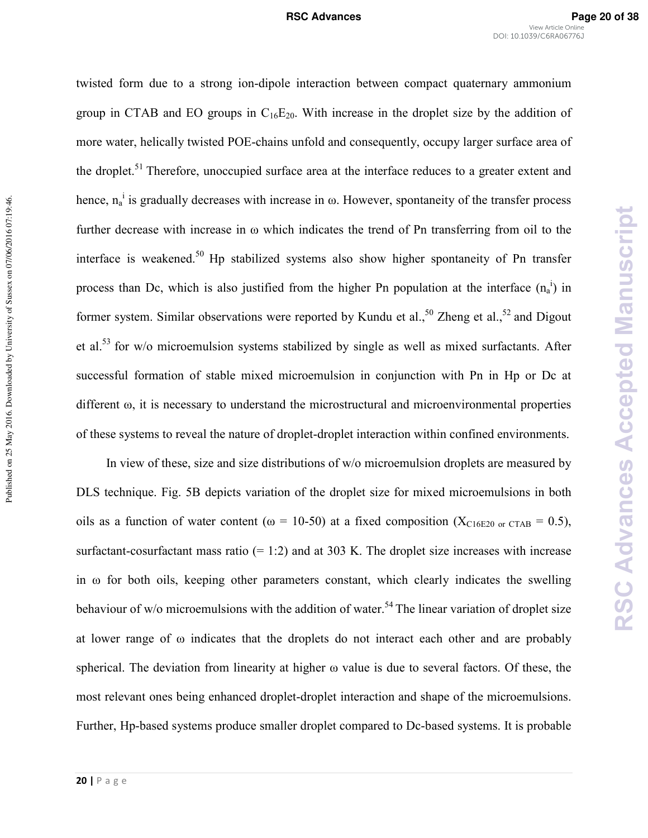### **RSC Advances Page 20 of 38**

Published on 25 May 2016. Downloaded by University of Sussex on 07/06/2016 07:19:46. Published on 25 May 2016. Downloaded by University of Sussex on 07/06/2016 07:19:46.

twisted form due to a strong ion-dipole interaction between compact quaternary ammonium group in CTAB and EO groups in  $C_{16}E_{20}$ . With increase in the droplet size by the addition of more water, helically twisted POE-chains unfold and consequently, occupy larger surface area of the droplet.<sup>51</sup> Therefore, unoccupied surface area at the interface reduces to a greater extent and hence,  $n_a^i$  is gradually decreases with increase in  $\omega$ . However, spontaneity of the transfer process further decrease with increase in ω which indicates the trend of Pn transferring from oil to the interface is weakened.<sup>50</sup> Hp stabilized systems also show higher spontaneity of Pn transfer process than Dc, which is also justified from the higher Pn population at the interface  $(n_a^i)$  in former system. Similar observations were reported by Kundu et al.,  $50$  Zheng et al.,  $52$  and Digout et al.<sup>53</sup> for w/o microemulsion systems stabilized by single as well as mixed surfactants. After successful formation of stable mixed microemulsion in conjunction with Pn in Hp or Dc at different ω, it is necessary to understand the microstructural and microenvironmental properties of these systems to reveal the nature of droplet#droplet interaction within confined environments.

In view of these, size and size distributions of w/o microemulsion droplets are measured by DLS technique. Fig. 5B depicts variation of the droplet size for mixed microemulsions in both oils as a function of water content ( $\omega$  = 10-50) at a fixed composition (X<sub>C16E20</sub> <sub>or CTAB</sub> = 0.5), surfactant-cosurfactant mass ratio  $(= 1:2)$  and at 303 K. The droplet size increases with increase in ω for both oils, keeping other parameters constant, which clearly indicates the swelling behaviour of w/o microemulsions with the addition of water.<sup>54</sup> The linear variation of droplet size at lower range of ω indicates that the droplets do not interact each other and are probably spherical. The deviation from linearity at higher  $\omega$  value is due to several factors. Of these, the most relevant ones being enhanced droplet-droplet interaction and shape of the microemulsions. Further, Hp-based systems produce smaller droplet compared to Dc-based systems. It is probable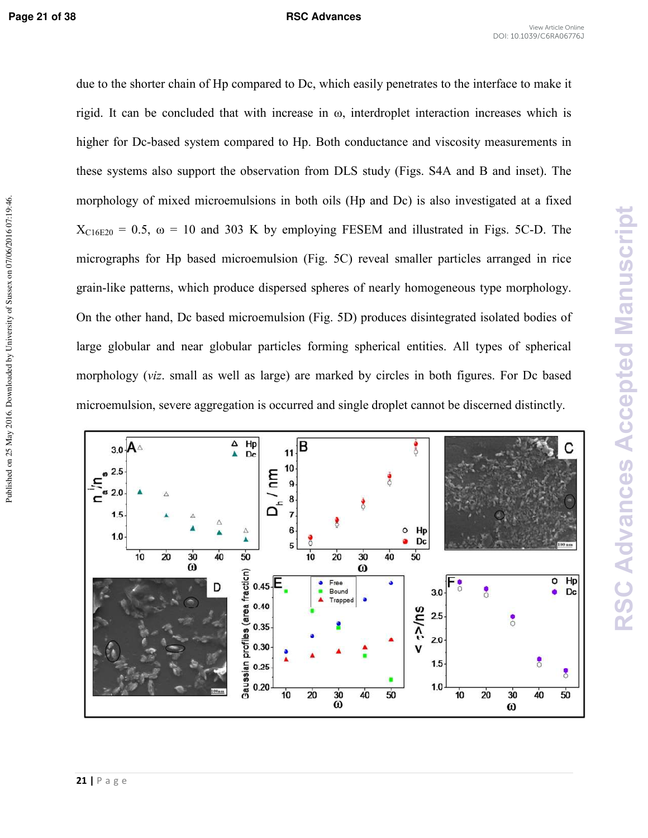Published on 25 May 2016. Downloaded by University of Sussex on 07/06/2016 07:19:46.

### **Page 21 of 38 RSC Advances**

due to the shorter chain of Hp compared to Dc, which easily penetrates to the interface to make it rigid. It can be concluded that with increase in ω, interdroplet interaction increases which is higher for Dc-based system compared to Hp. Both conductance and viscosity measurements in these systems also support the observation from DLS study (Figs. S4A and B and inset). The morphology of mixed microemulsions in both oils (Hp and Dc) is also investigated at a fixed  $X_{C16E20} = 0.5$ ,  $\omega = 10$  and 303 K by employing FESEM and illustrated in Figs. 5C-D. The micrographs for Hp based microemulsion (Fig. 5C) reveal smaller particles arranged in rice grain#like patterns, which produce dispersed spheres of nearly homogeneous type morphology. On the other hand, Dc based microemulsion (Fig. 5D) produces disintegrated isolated bodies of large globular and near globular particles forming spherical entities. All types of spherical morphology (*viz*. small as well as large) are marked by circles in both figures. For Dc based microemulsion, severe aggregation is occurred and single droplet cannot be discerned distinctly.

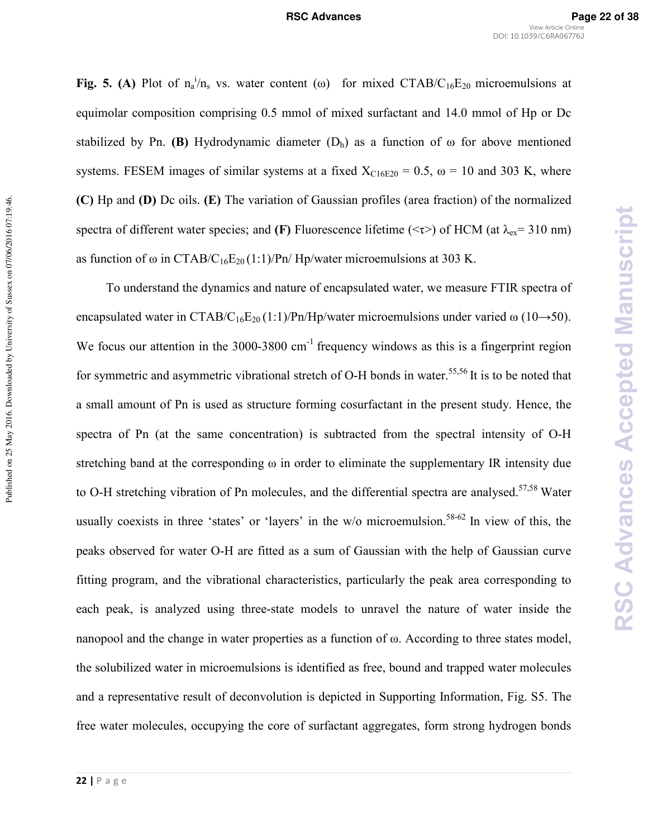Fig. 5. (A) Plot of  $n_a^i/n_s$  vs. water content (ω) for mixed CTAB/C<sub>16</sub>E<sub>20</sub> microemulsions at equimolar composition comprising 0.5 mmol of mixed surfactant and 14.0 mmol of Hp or Dc stabilized by Pn. **(B)** Hydrodynamic diameter  $(D<sub>h</sub>)$  as a function of  $\omega$  for above mentioned systems. FESEM images of similar systems at a fixed  $X_{C16E20} = 0.5$ ,  $\omega = 10$  and 303 K, where **(C)** Hp and **(D)** Dc oils. **(E)** The variation of Gaussian profiles (area fraction) of the normalized spectra of different water species; and **(F)** Fluorescence lifetime ( $\langle \tau \rangle$ ) of HCM (at  $\lambda_{ex}$ = 310 nm) as function of  $\omega$  in CTAB/C<sub>16</sub>E<sub>20</sub> (1:1)/Pn/ Hp/water microemulsions at 303 K.

To understand the dynamics and nature of encapsulated water, we measure FTIR spectra of encapsulated water in CTAB/C<sub>16</sub>E<sub>20</sub> (1:1)/Pn/Hp/water microemulsions under varied  $\omega$  (10→50). We focus our attention in the  $3000-3800$  cm<sup>-1</sup> frequency windows as this is a fingerprint region for symmetric and asymmetric vibrational stretch of O-H bonds in water.<sup>55,56</sup> It is to be noted that a small amount of Pn is used as structure forming cosurfactant in the present study. Hence, the spectra of Pn (at the same concentration) is subtracted from the spectral intensity of  $O-H$ stretching band at the corresponding  $\omega$  in order to eliminate the supplementary IR intensity due to O-H stretching vibration of Pn molecules, and the differential spectra are analysed.<sup>57,58</sup> Water usually coexists in three 'states' or 'layers' in the w/o microemulsion.<sup>58-62</sup> In view of this, the peaks observed for water O-H are fitted as a sum of Gaussian with the help of Gaussian curve fitting program, and the vibrational characteristics, particularly the peak area corresponding to each peak, is analyzed using three-state models to unravel the nature of water inside the nanopool and the change in water properties as a function of ω. According to three states model, the solubilized water in microemulsions is identified as free, bound and trapped water molecules and a representative result of deconvolution is depicted in Supporting Information, Fig. S5. The free water molecules, occupying the core of surfactant aggregates, form strong hydrogen bonds

Published on 25 May 2016. Downloaded by University of Sussex on 07/06/2016 07:19:46.

Published on 25 May 2016. Downloaded by University of Sussex on 07/06/2016 07:19:46.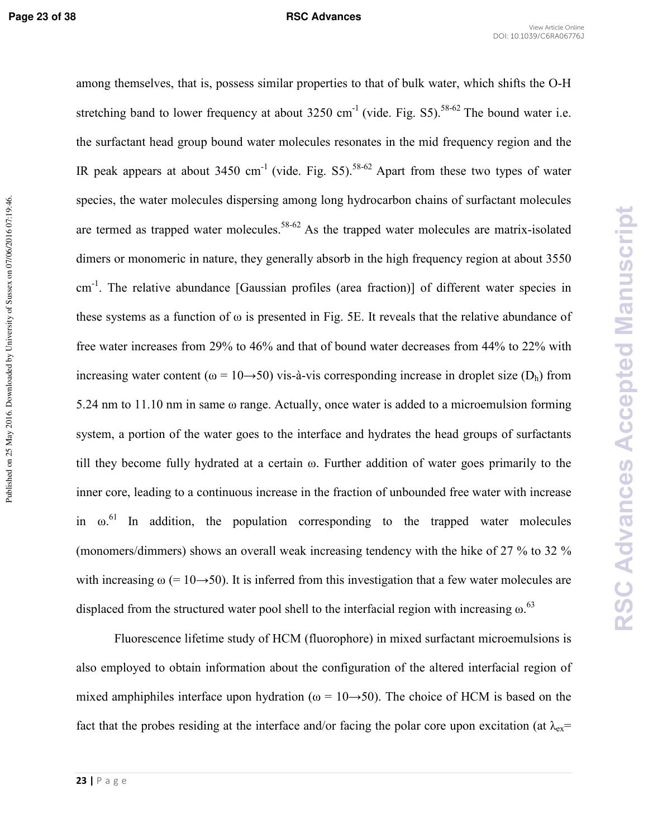### **Page 23 of 38 RSC Advances**

**RSC Advances Accepted Manuscript**

**RSC Advances Accepted Manuscript** 

among themselves, that is, possess similar properties to that of bulk water, which shifts the O-H stretching band to lower frequency at about 3250 cm<sup>-1</sup> (vide. Fig. S5).<sup>58-62</sup> The bound water i.e. the surfactant head group bound water molecules resonates in the mid frequency region and the IR peak appears at about  $3450 \text{ cm}^{-1}$  (vide. Fig. S5).<sup>58-62</sup> Apart from these two types of water species, the water molecules dispersing among long hydrocarbon chains of surfactant molecules are termed as trapped water molecules. $58-62$  As the trapped water molecules are matrix-isolated dimers or monomeric in nature, they generally absorb in the high frequency region at about 3550 cm<sup>-1</sup>. The relative abundance [Gaussian profiles (area fraction)] of different water species in these systems as a function of ω is presented in Fig. 5E. It reveals that the relative abundance of free water increases from 29% to 46% and that of bound water decreases from 44% to 22% with increasing water content ( $\omega = 10 \rightarrow 50$ ) vis-à-vis corresponding increase in droplet size (D<sub>h</sub>) from 5.24 nm to 11.10 nm in same  $\omega$  range. Actually, once water is added to a microemulsion forming system, a portion of the water goes to the interface and hydrates the head groups of surfactants till they become fully hydrated at a certain ω. Further addition of water goes primarily to the inner core, leading to a continuous increase in the fraction of unbounded free water with increase in  $\omega$ .<sup>61</sup> In addition, the population corresponding to the trapped water molecules (monomers/dimmers) shows an overall weak increasing tendency with the hike of 27 % to 32 % with increasing  $\omega$  (= 10→50). It is inferred from this investigation that a few water molecules are displaced from the structured water pool shell to the interfacial region with increasing  $\omega$ .<sup>63</sup>

Fluorescence lifetime study of HCM (fluorophore) in mixed surfactant microemulsions is also employed to obtain information about the configuration of the altered interfacial region of mixed amphiphiles interface upon hydration ( $\omega = 10 \rightarrow 50$ ). The choice of HCM is based on the fact that the probes residing at the interface and/or facing the polar core upon excitation (at  $\lambda_{ex}=$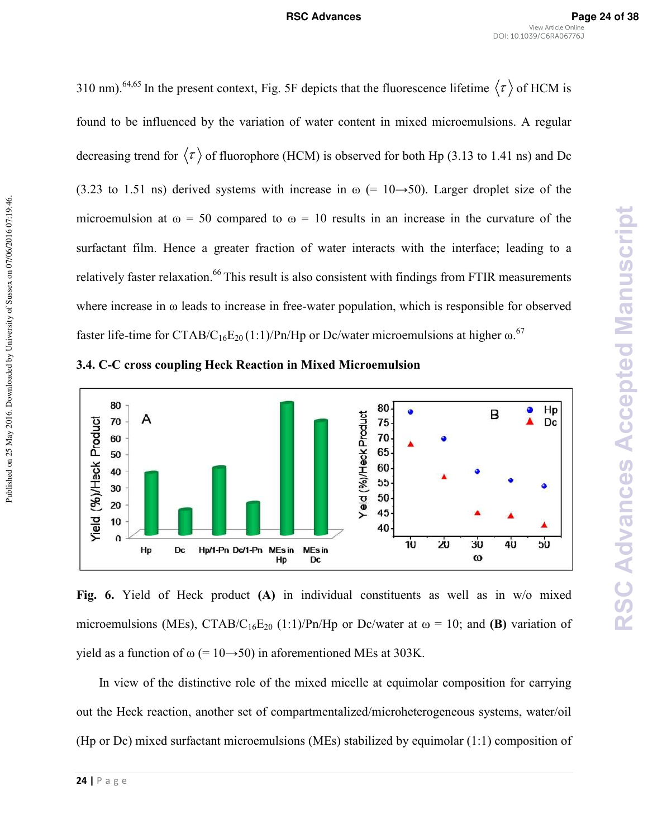**RSC Advances Accepted Manuscript**

**RSC Advances Accepted Manuscript** 

Hp

Dc

 $\omega$ 

310 nm).<sup>64,65</sup> In the present context, Fig. 5F depicts that the fluorescence lifetime  $\langle \tau \rangle$  of HCM is found to be influenced by the variation of water content in mixed microemulsions. A regular decreasing trend for  $\langle \tau \rangle$  of fluorophore (HCM) is observed for both Hp (3.13 to 1.41 ns) and Dc (3.23 to 1.51 ns) derived systems with increase in  $\omega$  (= 10 $\rightarrow$ 50). Larger droplet size of the microemulsion at  $\omega = 50$  compared to  $\omega = 10$  results in an increase in the curvature of the surfactant film. Hence a greater fraction of water interacts with the interface; leading to a relatively faster relaxation.<sup>66</sup> This result is also consistent with findings from FTIR measurements where increase in  $\omega$  leads to increase in free-water population, which is responsible for observed faster life-time for CTAB/C<sub>16</sub>E<sub>20</sub> (1:1)/Pn/Hp or Dc/water microemulsions at higher  $\omega$ .<sup>67</sup>



Hp

**3.4. CC cross coupling Heck Reaction in Mixed Microemulsion** 

**Fig. 6.** Yield of Heck product **(A)** in individual constituents as well as in w/o mixed microemulsions (MEs), CTAB/C<sub>16</sub>E<sub>20</sub> (1:1)/Pn/Hp or Dc/water at  $\omega = 10$ ; and **(B)** variation of yield as a function of  $\omega$  (= 10→50) in aforementioned MEs at 303K.

Dc

In view of the distinctive role of the mixed micelle at equimolar composition for carrying out the Heck reaction, another set of compartmentalized/microheterogeneous systems, water/oil (Hp or Dc) mixed surfactant microemulsions (MEs) stabilized by equimolar (1:1) composition of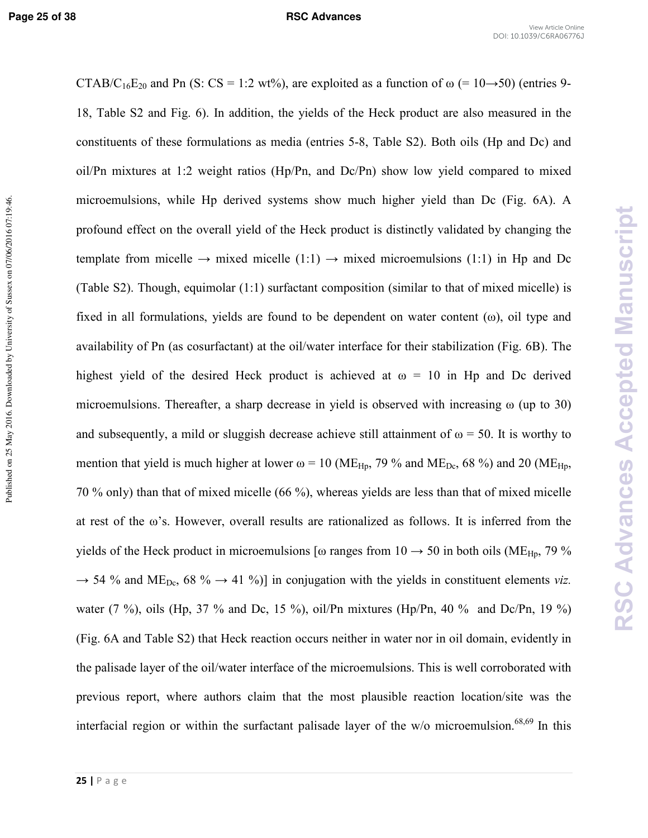### **Page 25 of 38 RSC Advances**

**RSC Advances Accepted Manuscript**

**RSC Advances Accepted Manuscript** 

CTAB/C<sub>16</sub>E<sub>20</sub> and Pn (S: CS = 1:2 wt%), are exploited as a function of  $\omega$  (= 10 $\rightarrow$ 50) (entries 9-18, Table S2 and Fig. 6). In addition, the yields of the Heck product are also measured in the constituents of these formulations as media (entries 5-8, Table S2). Both oils (Hp and Dc) and oil/Pn mixtures at 1:2 weight ratios (Hp/Pn, and Dc/Pn) show low yield compared to mixed microemulsions, while Hp derived systems show much higher yield than Dc (Fig. 6A). A profound effect on the overall yield of the Heck product is distinctly validated by changing the template from micelle  $\rightarrow$  mixed micelle (1:1)  $\rightarrow$  mixed microemulsions (1:1) in Hp and Dc (Table S2). Though, equimolar (1:1) surfactant composition (similar to that of mixed micelle) is fixed in all formulations, yields are found to be dependent on water content  $(\omega)$ , oil type and availability of Pn (as cosurfactant) at the oil/water interface for their stabilization (Fig. 6B). The highest yield of the desired Heck product is achieved at  $\omega = 10$  in Hp and Dc derived microemulsions. Thereafter, a sharp decrease in yield is observed with increasing  $\omega$  (up to 30) and subsequently, a mild or sluggish decrease achieve still attainment of  $\omega = 50$ . It is worthy to mention that yield is much higher at lower  $\omega = 10$  (ME<sub>Hp</sub>, 79 % and ME<sub>Dc</sub>, 68 %) and 20 (ME<sub>Hp</sub>, 70 % only) than that of mixed micelle (66 %), whereas yields are less than that of mixed micelle at rest of the ω's. However, overall results are rationalized as follows. It is inferred from the yields of the Heck product in microemulsions [ $\omega$  ranges from 10  $\rightarrow$  50 in both oils (ME<sub>Hp</sub>, 79 %)  $\rightarrow$  54 % and ME<sub>Dc</sub>, 68 %  $\rightarrow$  41 %)] in conjugation with the yields in constituent elements *viz*. water (7 %), oils (Hp, 37 % and Dc, 15 %), oil/Pn mixtures (Hp/Pn, 40 % and Dc/Pn, 19 %) (Fig. 6A and Table S2) that Heck reaction occurs neither in water nor in oil domain, evidently in the palisade layer of the oil/water interface of the microemulsions. This is well corroborated with previous report, where authors claim that the most plausible reaction location/site was the interfacial region or within the surfactant palisade layer of the  $w/o$  microemulsion.<sup>68,69</sup> In this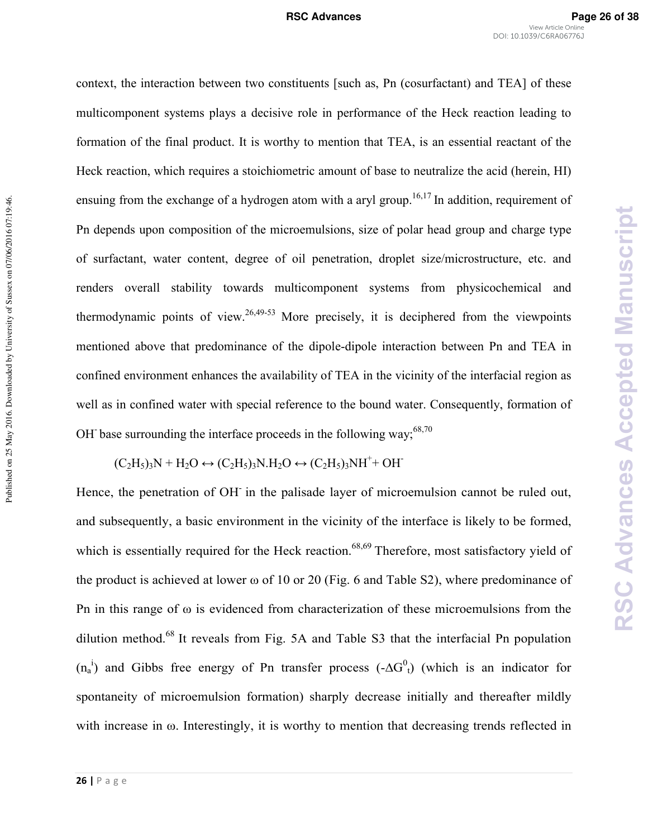context, the interaction between two constituents [such as, Pn (cosurfactant) and TEA] of these multicomponent systems plays a decisive role in performance of the Heck reaction leading to formation of the final product. It is worthy to mention that TEA, is an essential reactant of the Heck reaction, which requires a stoichiometric amount of base to neutralize the acid (herein, HI) ensuing from the exchange of a hydrogen atom with a aryl group.<sup>16,17</sup> In addition, requirement of Pn depends upon composition of the microemulsions, size of polar head group and charge type of surfactant, water content, degree of oil penetration, droplet size/microstructure, etc. and renders overall stability towards multicomponent systems from physicochemical and thermodynamic points of view.<sup>26,49-53</sup> More precisely, it is deciphered from the viewpoints mentioned above that predominance of the dipole-dipole interaction between Pn and TEA in confined environment enhances the availability of TEA in the vicinity of the interfacial region as well as in confined water with special reference to the bound water. Consequently, formation of OH base surrounding the interface proceeds in the following way;<sup>68,70</sup>

 $(C_2H_5)_3N + H_2O \leftrightarrow (C_2H_5)_3N.H_2O \leftrightarrow (C_2H_5)_3NH^+$ + OH

Hence, the penetration of OH in the palisade layer of microemulsion cannot be ruled out, and subsequently, a basic environment in the vicinity of the interface is likely to be formed, which is essentially required for the Heck reaction.<sup>68,69</sup> Therefore, most satisfactory yield of the product is achieved at lower  $\omega$  of 10 or 20 (Fig. 6 and Table S2), where predominance of Pn in this range of  $\omega$  is evidenced from characterization of these microemulsions from the dilution method.<sup>68</sup> It reveals from Fig. 5A and Table S3 that the interfacial Pn population  $(n_a^i)$  and Gibbs free energy of Pn transfer process  $(-\Delta G^0)$  (which is an indicator for spontaneity of microemulsion formation) sharply decrease initially and thereafter mildly with increase in ω. Interestingly, it is worthy to mention that decreasing trends reflected in

Published on 25 May 2016. Downloaded by University of Sussex on 07/06/2016 07:19:46.

Published on 25 May 2016. Downloaded by University of Sussex on 07/06/2016 07:19:46.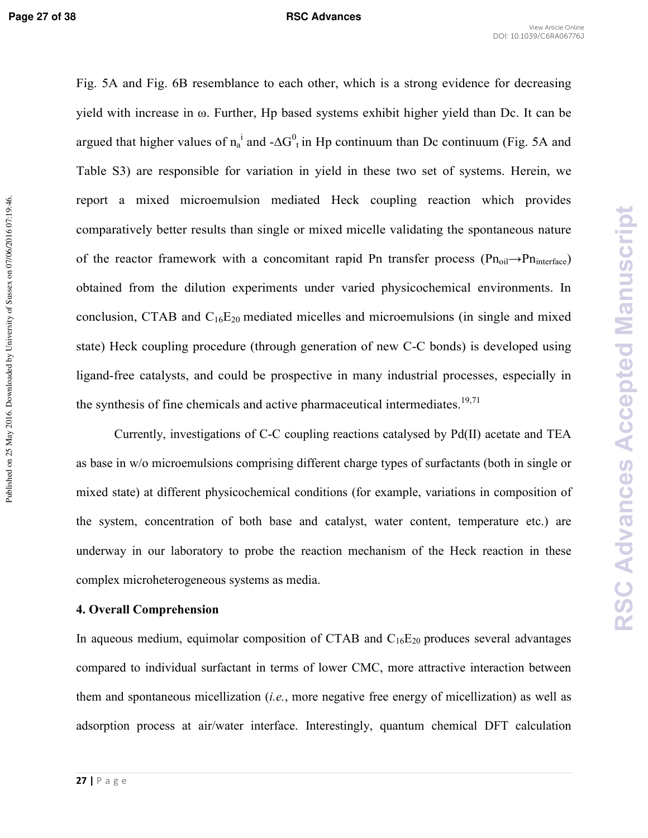### **Page 27 of 38 RSC Advances**

**RSC Advances Accepted Manuscript**

**RSC Advances Accepted Manuscript** 

Fig. 5A and Fig. 6B resemblance to each other, which is a strong evidence for decreasing yield with increase in ω. Further, Hp based systems exhibit higher yield than Dc. It can be argued that higher values of  $n_a^i$  and - $\Delta G^0$ <sub>t</sub> in Hp continuum than Dc continuum (Fig. 5A and Table S3) are responsible for variation in yield in these two set of systems. Herein, we report a mixed microemulsion mediated Heck coupling reaction which provides comparatively better results than single or mixed micelle validating the spontaneous nature of the reactor framework with a concomitant rapid Pn transfer process ( $\text{Pn}_{\text{oil}} \rightarrow \text{Pn}_{\text{interface}}$ ) obtained from the dilution experiments under varied physicochemical environments. In conclusion, CTAB and  $C_{16}E_{20}$  mediated micelles and microemulsions (in single and mixed state) Heck coupling procedure (through generation of new C-C bonds) is developed using ligand-free catalysts, and could be prospective in many industrial processes, especially in the synthesis of fine chemicals and active pharmaceutical intermediates.<sup>19,71</sup>

Currently, investigations of C-C coupling reactions catalysed by Pd(II) acetate and TEA as base in w/o microemulsions comprising different charge types of surfactants (both in single or mixed state) at different physicochemical conditions (for example, variations in composition of the system, concentration of both base and catalyst, water content, temperature etc.) are underway in our laboratory to probe the reaction mechanism of the Heck reaction in these complex microheterogeneous systems as media.

# **4. Overall Comprehension**

In aqueous medium, equimolar composition of CTAB and  $C_{16}E_{20}$  produces several advantages compared to individual surfactant in terms of lower CMC, more attractive interaction between them and spontaneous micellization (*i.e.*, more negative free energy of micellization) as well as adsorption process at air/water interface. Interestingly, quantum chemical DFT calculation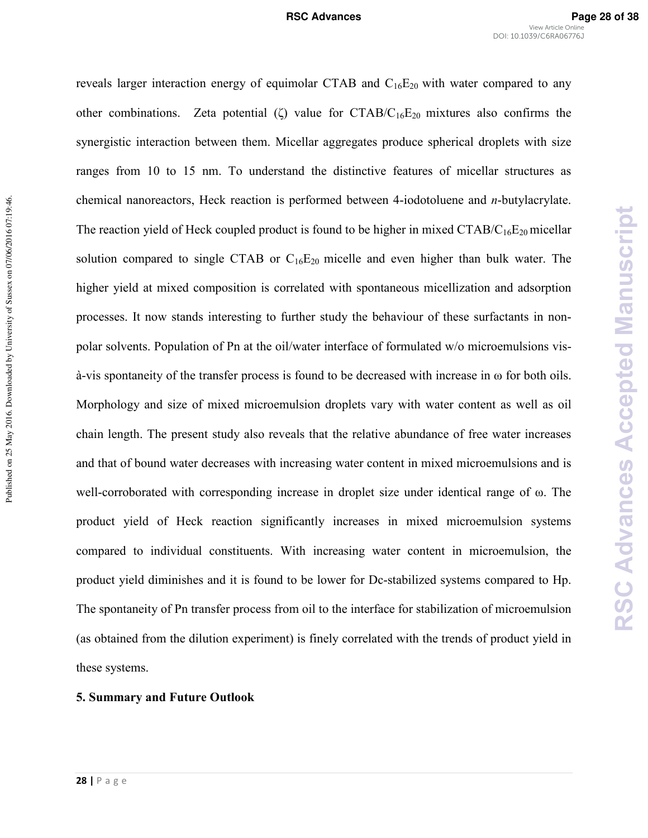**RSC Advances Accepted Manuscript**

**RSC Advances Accepted Manuscript** 

reveals larger interaction energy of equimolar CTAB and  $C_{16}E_{20}$  with water compared to any other combinations. Zeta potential (ζ) value for  $CTAB/C_{16}E_{20}$  mixtures also confirms the synergistic interaction between them. Micellar aggregates produce spherical droplets with size ranges from 10 to 15 nm. To understand the distinctive features of micellar structures as chemical nanoreactors, Heck reaction is performed between 4-iodotoluene and *n*-butylacrylate. The reaction yield of Heck coupled product is found to be higher in mixed  $CTAB/C_{16}E_{20}$  micellar solution compared to single CTAB or  $C_{16}E_{20}$  micelle and even higher than bulk water. The higher yield at mixed composition is correlated with spontaneous micellization and adsorption processes. It now stands interesting to further study the behaviour of these surfactants in non# polar solvents. Population of Pn at the oil/water interface of formulated  $w/\sigma$  microemulsions vis- $\dot{a}$ -vis spontaneity of the transfer process is found to be decreased with increase in  $\omega$  for both oils. Morphology and size of mixed microemulsion droplets vary with water content as well as oil chain length. The present study also reveals that the relative abundance of free water increases and that of bound water decreases with increasing water content in mixed microemulsions and is well-corroborated with corresponding increase in droplet size under identical range of ω. The product yield of Heck reaction significantly increases in mixed microemulsion systems compared to individual constituents. With increasing water content in microemulsion, the product yield diminishes and it is found to be lower for Dc-stabilized systems compared to Hp. The spontaneity of Pn transfer process from oil to the interface for stabilization of microemulsion (as obtained from the dilution experiment) is finely correlated with the trends of product yield in these systems.

### **5. Summary and Future Outlook**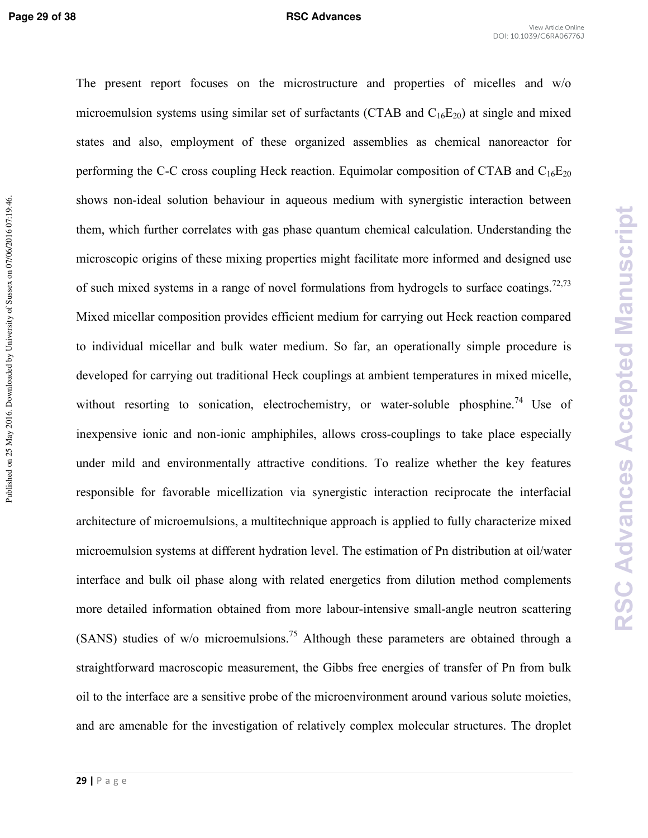### **Page 29 of 38 RSC Advances**

**RSC Advances Accepted Manuscript**

**RSC Advances Accepted Manuscript** 

The present report focuses on the microstructure and properties of micelles and w/o microemulsion systems using similar set of surfactants (CTAB and  $C_{16}E_{20}$ ) at single and mixed states and also, employment of these organized assemblies as chemical nanoreactor for performing the C-C cross coupling Heck reaction. Equimolar composition of CTAB and  $C_{16}E_{20}$ shows non-ideal solution behaviour in aqueous medium with synergistic interaction between them, which further correlates with gas phase quantum chemical calculation. Understanding the microscopic origins of these mixing properties might facilitate more informed and designed use of such mixed systems in a range of novel formulations from hydrogels to surface coatings.<sup>72,73</sup> Mixed micellar composition provides efficient medium for carrying out Heck reaction compared to individual micellar and bulk water medium. So far, an operationally simple procedure is developed for carrying out traditional Heck couplings at ambient temperatures in mixed micelle, without resorting to sonication, electrochemistry, or water-soluble phosphine.<sup>74</sup> Use of inexpensive ionic and non-ionic amphiphiles, allows cross-couplings to take place especially under mild and environmentally attractive conditions. To realize whether the key features responsible for favorable micellization via synergistic interaction reciprocate the interfacial architecture of microemulsions, a multitechnique approach is applied to fully characterize mixed microemulsion systems at different hydration level. The estimation of Pn distribution at oil/water interface and bulk oil phase along with related energetics from dilution method complements more detailed information obtained from more labour-intensive small-angle neutron scattering (SANS) studies of w/o microemulsions.<sup>75</sup> Although these parameters are obtained through a straightforward macroscopic measurement, the Gibbs free energies of transfer of Pn from bulk oil to the interface are a sensitive probe of the microenvironment around various solute moieties, and are amenable for the investigation of relatively complex molecular structures. The droplet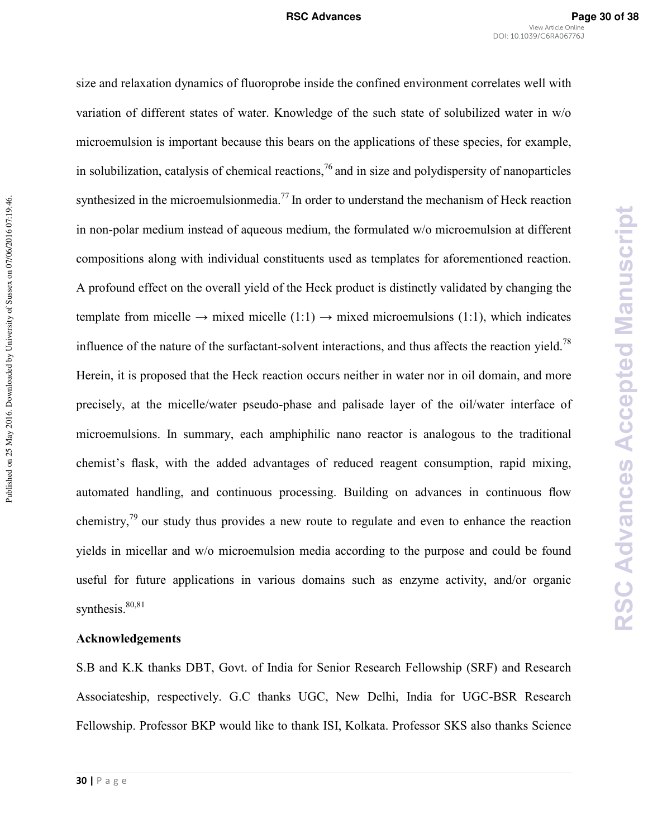**RSC Advances Accepted Manuscript**

**RSC Advances Accepted Manuscript** 

size and relaxation dynamics of fluoroprobe inside the confined environment correlates well with variation of different states of water. Knowledge of the such state of solubilized water in w/o microemulsion is important because this bears on the applications of these species, for example, in solubilization, catalysis of chemical reactions,  $\frac{7}{6}$  and in size and polydispersity of nanoparticles synthesized in the microemulsionmedia.<sup>77</sup> In order to understand the mechanism of Heck reaction in non-polar medium instead of aqueous medium, the formulated w/o microemulsion at different compositions along with individual constituents used as templates for aforementioned reaction. A profound effect on the overall yield of the Heck product is distinctly validated by changing the template from micelle  $\rightarrow$  mixed micelle (1:1)  $\rightarrow$  mixed microemulsions (1:1), which indicates influence of the nature of the surfactant-solvent interactions, and thus affects the reaction yield.<sup>78</sup> Herein, it is proposed that the Heck reaction occurs neither in water nor in oil domain, and more precisely, at the micelle/water pseudo-phase and palisade layer of the oil/water interface of microemulsions. In summary, each amphiphilic nano reactor is analogous to the traditional chemist's flask, with the added advantages of reduced reagent consumption, rapid mixing, automated handling, and continuous processing. Building on advances in continuous flow chemistry, $79$  our study thus provides a new route to regulate and even to enhance the reaction yields in micellar and w/o microemulsion media according to the purpose and could be found useful for future applications in various domains such as enzyme activity, and/or organic synthesis.<sup>80,81</sup>

### **Acknowledgements**

S.B and K.K thanks DBT, Govt. of India for Senior Research Fellowship (SRF) and Research Associateship, respectively. G.C thanks UGC, New Delhi, India for UGC-BSR Research Fellowship. Professor BKP would like to thank ISI, Kolkata. Professor SKS also thanks Science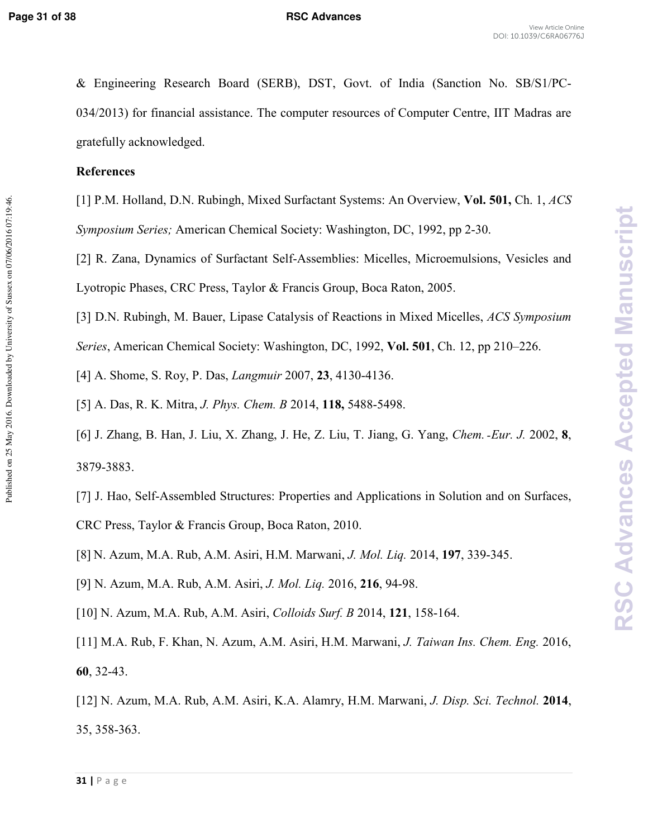Published on 25 May 2016. Downloaded by University of Sussex on 07/06/2016 07:19:46.

& Engineering Research Board (SERB), DST, Govt. of India (Sanction No. SB/S1/PC# 034/2013) for financial assistance. The computer resources of Computer Centre, IIT Madras are gratefully acknowledged.

# **References**

[1] P.M. Holland, D.N. Rubingh, Mixed Surfactant Systems: An Overview, **Vol. 501,** Ch. 1, *ACS Symposium Series;* American Chemical Society: Washington, DC, 1992, pp 2-30.

[2] R. Zana, Dynamics of Surfactant Self-Assemblies: Micelles, Microemulsions, Vesicles and Lyotropic Phases, CRC Press, Taylor & Francis Group, Boca Raton, 2005.

[3] D.N. Rubingh, M. Bauer, Lipase Catalysis of Reactions in Mixed Micelles, *ACS Symposium* 

*Series*, American Chemical Society: Washington, DC, 1992, **Vol. 501**, Ch. 12, pp 210–226.

[4] A. Shome, S. Roy, P. Das, *Langmuir* 2007, 23, 4130-4136.

[5] A. Das, R. K. Mitra, *J. Phys. Chem. B* 2014, **118,** 5488-5498.

[6] J. Zhang, B. Han, J. Liu, X. Zhang, J. He, Z. Liu, T. Jiang, G. Yang, *Chem.*-*Eur. J.* 2002, **8**, 3879-3883.

[7] J. Hao, Self-Assembled Structures: Properties and Applications in Solution and on Surfaces, CRC Press, Taylor & Francis Group, Boca Raton, 2010.

[8] N. Azum, M.A. Rub, A.M. Asiri, H.M. Marwani, *J. Mol. Lig.* 2014, 197, 339-345.

[9] N. Azum, M.A. Rub, A.M. Asiri, *J. Mol. Lig.* 2016, 216, 94-98.

[10] N. Azum, M.A. Rub, A.M. Asiri, *Colloids Surf. B* 2014, 121, 158-164.

[11] M.A. Rub, F. Khan, N. Azum, A.M. Asiri, H.M. Marwani, *J. Taiwan Ins. Chem. Eng.* 2016, 60, 32-43.

[12] N. Azum, M.A. Rub, A.M. Asiri, K.A. Alamry, H.M. Marwani, *J. Disp. Sci. Technol.* **2014**, 358-363.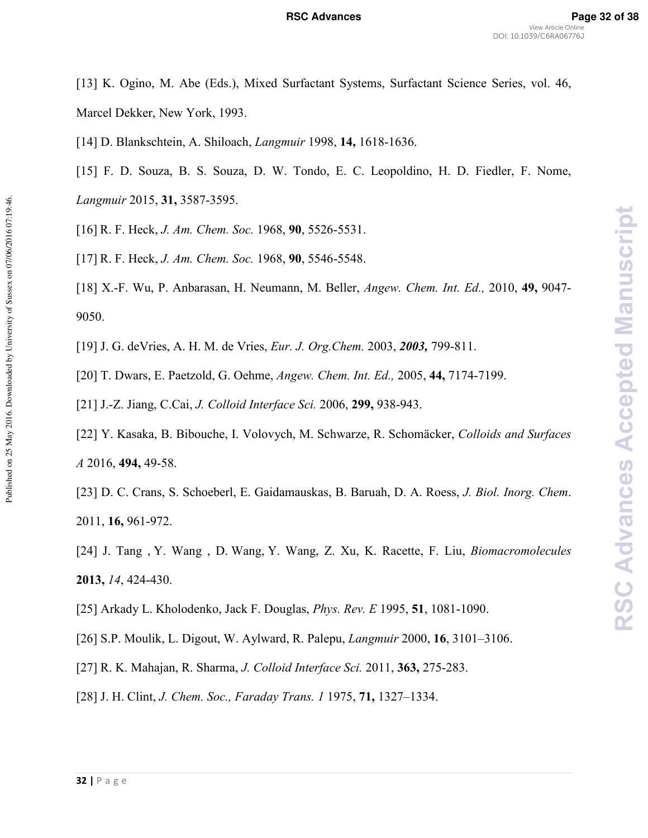[13] K. Ogino, M. Abe (Eds.), Mixed Surfactant Systems, Surfactant Science Series, vol. 46, Marcel Dekker, New York, 1993.

[14] D. Blankschtein, A. Shiloach, *Langmuir* 1998, 14, 1618-1636.

[15] F. D. Souza, B. S. Souza, D. W. Tondo, E. C. Leopoldino, H. D. Fiedler, F. Nome, *Langmuir* 2015, 31, 3587-3595.

[16] R. F. Heck, *J. Am. Chem. Soc.* 1968, 90, 5526-5531.

[17] R. F. Heck, *J. Am. Chem. Soc.* 1968, **90**, 5546-5548.

[18] X.#F. Wu, P. Anbarasan, H. Neumann, M. Beller, *Angew. Chem. Int. Ed.,* 2010, **49,** 9047# 9050.

[19] J. G. deVries, A. H. M. de Vries, *Eur. J. Org. Chem.* 2003, 2003, 799-811.

[20] T. Dwars, E. Paetzold, G. Oehme, *Angew. Chem. Int. Ed.*, 2005, 44, 7174-7199.

[21] J.-Z. Jiang, C.Cai, *J. Colloid Interface Sci.* 2006, **299,** 938-943.

[22] Y. Kasaka, B. Bibouche, I. Volovych, M. Schwarze, R. Schomäcker, *Colloids and Surfaces A* 2016, 494, 49-58.

[23] D. C. Crans, S. Schoeberl, E. Gaidamauskas, B. Baruah, D. A. Roess, *J. Biol. Inorg. Chem*. 2011, 16, 961-972.

[24] J. Tang , Y. Wang , D. Wang, Y. Wang, Z. Xu, K. Racette, F. Liu, *Biomacromolecules*  **2013,** 14, 424-430.

[25] Arkady L. Kholodenko, Jack F. Douglas, *Phys. Rev. E* 1995, **51**, 1081-1090.

[26] S.P. Moulik, L. Digout, W. Aylward, R. Palepu, *Langmuir* 2000, **16**, 3101–3106.

[27] R. K. Mahajan, R. Sharma, *J. Colloid Interface Sci.* 2011, **363,** 275-283.

[28] J. H. Clint, *J. Chem. Soc., Faraday Trans. 1* 1975, **71,** 1327–1334.

Published on 25 May 2016. Downloaded by University of Sussex on 07/06/2016 07:19:46.

Published on 25 May 2016. Downloaded by University of Sussex on 07/06/2016 07:19:46.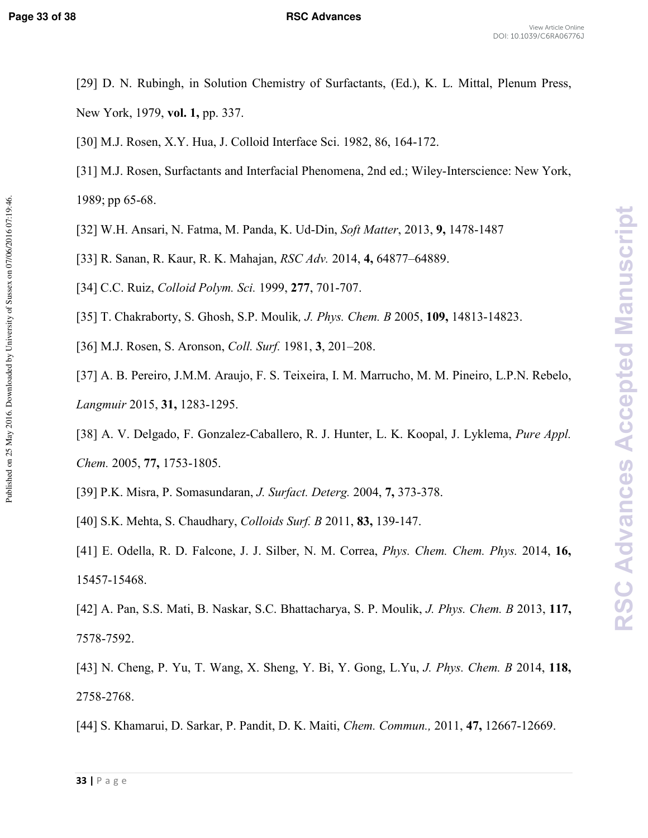Published on 25 May 2016. Downloaded by University of Sussex on 07/06/2016 07:19:46.

- [29] D. N. Rubingh, in Solution Chemistry of Surfactants, (Ed.), K. L. Mittal, Plenum Press, New York, 1979, **vol. 1,** pp. 337.
- [30] M.J. Rosen, X.Y. Hua, J. Colloid Interface Sci. 1982, 86, 164-172.
- [31] M.J. Rosen, Surfactants and Interfacial Phenomena, 2nd ed.; Wiley-Interscience: New York,

1989; pp  $65-68$ .

- [32] W.H. Ansari, N. Fatma, M. Panda, K. Ud-Din, *Soft Matter*, 2013, 9, 1478-1487
- [33] R. Sanan, R. Kaur, R. K. Mahajan, *RSC Adv.* 2014, **4,** 64877–64889.
- [34] C.C. Ruiz, *Colloid Polym. Sci.* 1999, 277, 701-707.
- [35] T. Chakraborty, S. Ghosh, S.P. Moulik, *J. Phys. Chem. B* 2005, 109, 14813-14823.
- [36] M.J. Rosen, S. Aronson, *Coll. Surf.* 1981, **3**, 201–208.
- [37] A. B. Pereiro, J.M.M. Araujo, F. S. Teixeira, I. M. Marrucho, M. M. Pineiro, L.P.N. Rebelo, *Langmuir* 2015, 31, 1283-1295.
- [38] A. V. Delgado, F. Gonzalez-Caballero, R. J. Hunter, L. K. Koopal, J. Lyklema, *Pure Appl. Chem.* 2005, 77, 1753-1805.
- [39] P.K. Misra, P. Somasundaran, *J. Surfact. Deterg.* 2004, **7,** 373-378.
- [40] S.K. Mehta, S. Chaudhary, *Colloids Surf. B* 2011, **83,** 139-147.
- [41] E. Odella, R. D. Falcone, J. J. Silber, N. M. Correa, *Phys. Chem. Chem. Phys.* 2014, **16,** 15457-15468.
- [42] A. Pan, S.S. Mati, B. Naskar, S.C. Bhattacharya, S. P. Moulik, *J. Phys. Chem. B* 2013, **117,** 7578-7592.
- [43] N. Cheng, P. Yu, T. Wang, X. Sheng, Y. Bi, Y. Gong, L.Yu, *J. Phys. Chem. B* 2014, **118,** 2758-2768.
- [44] S. Khamarui, D. Sarkar, P. Pandit, D. K. Maiti, *Chem. Commun.*, 2011, 47, 12667-12669.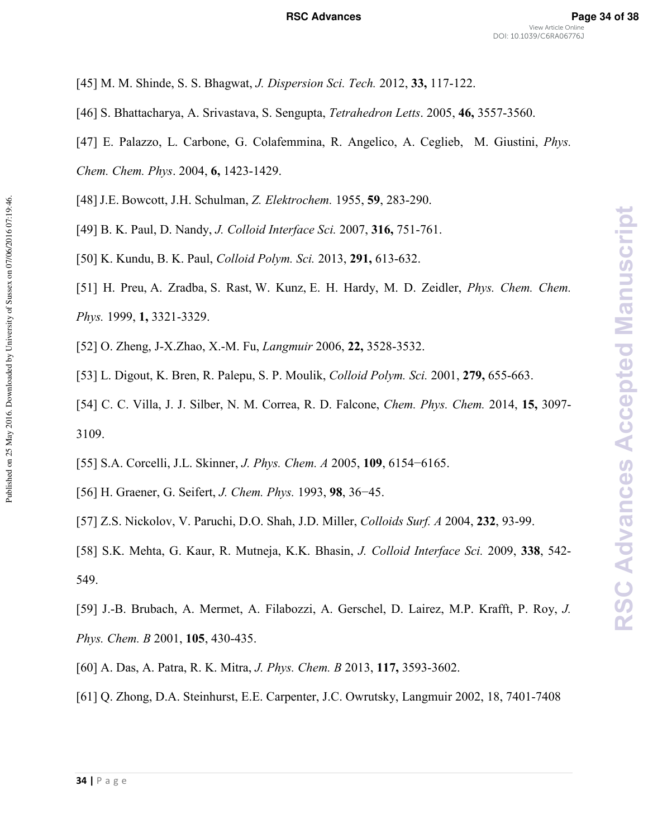**RSC Advances Accepted Manuscript**

**RSC Advances Accepted Manuscript** 

- [45] M. M. Shinde, S. S. Bhagwat, *J. Dispersion Sci. Tech.* 2012, **33,** 117-122.
- [46] S. Bhattacharya, A. Srivastava, S. Sengupta, *Tetrahedron Letts*. 2005, **46,** 3557#3560.
- [47] E. Palazzo, L. Carbone, G. Colafemmina, R. Angelico, A. Ceglieb, M. Giustini, *Phys.*
- *Chem. Chem. Phys.* 2004, 6, 1423-1429.
- [48] J.E. Bowcott, J.H. Schulman, *Z. Elektrochem.* 1955, **59**, 283-290.
- [49] B. K. Paul, D. Nandy, *J. Colloid Interface Sci.* 2007, 316, 751-761.
- [50] K. Kundu, B. K. Paul, *Colloid Polym. Sci.* 2013, 291, 613-632.
- [51] H. Preu, A. Zradba, S. Rast, W. Kunz, E. H. Hardy, M. D. Zeidler, *Phys. Chem. Chem. Phys.* 1999, 1, 3321-3329.
- [52] O. Zheng, J-X.Zhao, X.-M. Fu, *Langmuir* 2006, 22, 3528-3532.
- [53] L. Digout, K. Bren, R. Palepu, S. P. Moulik, *Colloid Polym. Sci.* 2001, **279,** 655-663.
- [54] C. C. Villa, J. J. Silber, N. M. Correa, R. D. Falcone, *Chem. Phys. Chem.* 2014, **15,** 3097-3109.
- [55] S.A. Corcelli, J.L. Skinner, *J. Phys. Chem. A* 2005, **109**, 6154−6165.
- [56] H. Graener, G. Seifert, *J. Chem. Phys.* 1993, **98**, 36−45.
- [57] Z.S. Nickolov, V. Paruchi, D.O. Shah, J.D. Miller, *Colloids Surf. A* 2004, **232**, 93#99.
- [58] S.K. Mehta, G. Kaur, R. Mutneja, K.K. Bhasin, *J. Colloid Interface Sci.* 2009, **338**, 542# 549.
- [59] J.#B. Brubach, A. Mermet, A. Filabozzi, A. Gerschel, D. Lairez, M.P. Krafft, P. Roy, *J. Phys. Chem. B* 2001, **105**, 430-435.
- [60] A. Das, A. Patra, R. K. Mitra, *J. Phys. Chem. B* 2013, 117, 3593-3602.
- [61] Q. Zhong, D.A. Steinhurst, E.E. Carpenter, J.C. Owrutsky, Langmuir 2002, 18, 7401-7408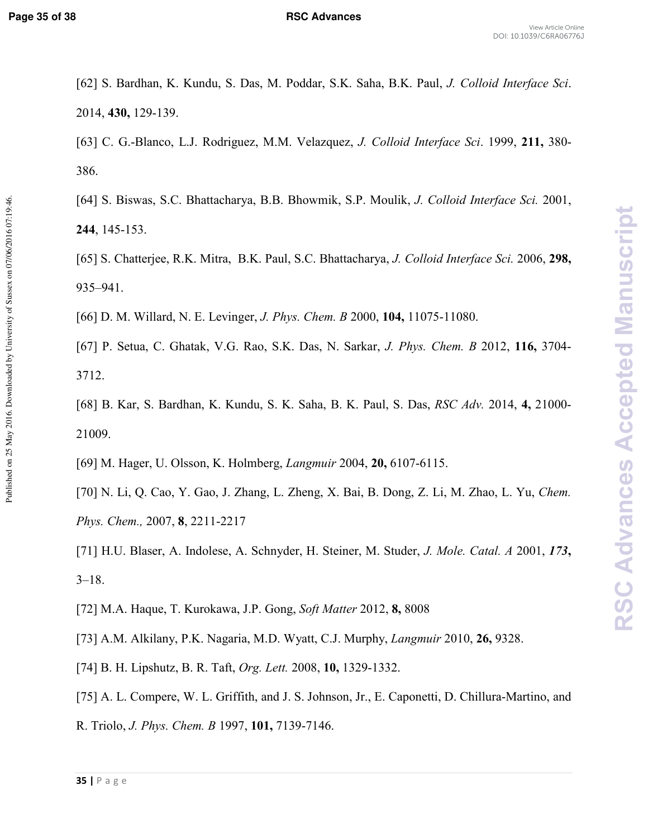Published on 25 May 2016. Downloaded by University of Sussex on 07/06/2016 07:19:46.

- [62] S. Bardhan, K. Kundu, S. Das, M. Poddar, S.K. Saha, B.K. Paul, *J. Colloid Interface Sci*. 2014, 430, 129-139.
- [63] C. G.-Blanco, L.J. Rodriguez, M.M. Velazquez, *J. Colloid Interface Sci.* 1999, **211,** 380-386.
- [64] S. Biswas, S.C. Bhattacharya, B.B. Bhowmik, S.P. Moulik, *J. Colloid Interface Sci.* 2001, **244**, 145-153.
- [65] S. Chatterjee, R.K. Mitra, B.K. Paul, S.C. Bhattacharya, *J. Colloid Interface Sci.* 2006, **298,** 935–941.
- [66] D. M. Willard, N. E. Levinger, *J. Phys. Chem. B* 2000, **104,** 11075-11080.
- [67] P. Setua, C. Ghatak, V.G. Rao, S.K. Das, N. Sarkar, *J. Phys. Chem. B* 2012, **116,** 3704# 3712.
- [68] B. Kar, S. Bardhan, K. Kundu, S. K. Saha, B. K. Paul, S. Das, *RSC Adv.* 2014, 4, 21000-21009.
- [69] M. Hager, U. Olsson, K. Holmberg, *Langmuir* 2004, **20,** 6107-6115.
- [70] N. Li, Q. Cao, Y. Gao, J. Zhang, L. Zheng, X. Bai, B. Dong, Z. Li, M. Zhao, L. Yu, *Chem. Phys. Chem., 2007, 8, 2211-2217*
- [71] H.U. Blaser, A. Indolese, A. Schnyder, H. Steiner, M. Studer, *J. Mole. Catal. A* 2001, 173, 3–18.
- [72] M.A. Haque, T. Kurokawa, J.P. Gong, *Soft Matter* 2012, **8,** 8008
- [73] A.M. Alkilany, P.K. Nagaria, M.D. Wyatt, C.J. Murphy, *Langmuir* 2010, **26,** 9328.
- [74] B. H. Lipshutz, B. R. Taft, *Org. Lett.* 2008, 10, 1329-1332.
- [75] A. L. Compere, W. L. Griffith, and J. S. Johnson, Jr., E. Caponetti, D. Chillura-Martino, and
- R. Triolo, *J. Phys. Chem. B* 1997, 101, 7139-7146.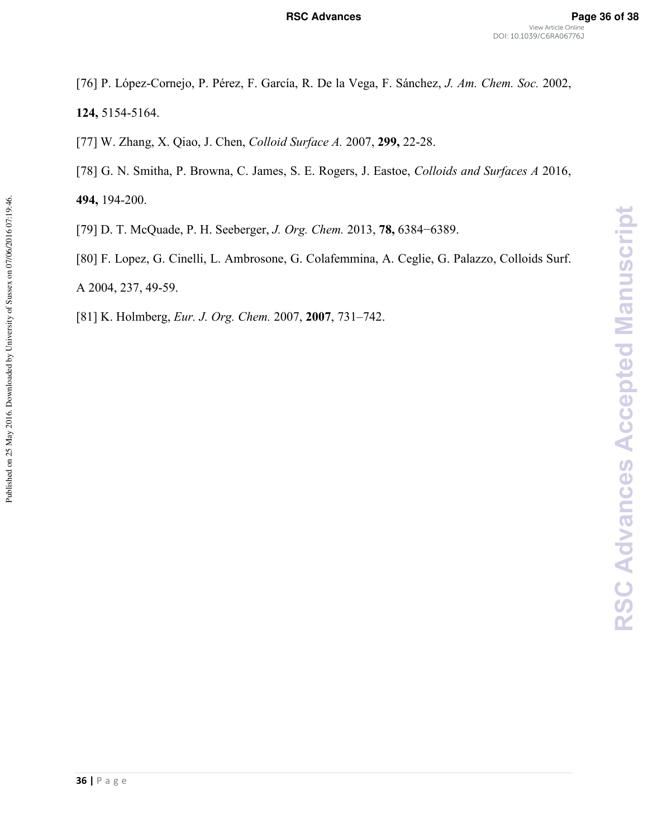[76] P. López#Cornejo, P. Pérez, F. García, R. De la Vega, F. Sánchez, *J. Am. Chem. Soc.* 2002, 124, 5154-5164.

[77] W. Zhang, X. Qiao, J. Chen, *Colloid Surface A.* 2007, 299, 22-28.

- [78] G. N. Smitha, P. Browna, C. James, S. E. Rogers, J. Eastoe, *Colloids and Surfaces A* 2016, 494, 194-200.
- [79] D. T. McQuade, P. H. Seeberger, *J. Org. Chem.* 2013, **78,** 6384−6389.
- [80] F. Lopez, G. Cinelli, L. Ambrosone, G. Colafemmina, A. Ceglie, G. Palazzo, Colloids Surf. A 2004, 237, 49-59.
- [81] K. Holmberg, *Eur. J. Org. Chem.* 2007, **2007**, 731–742.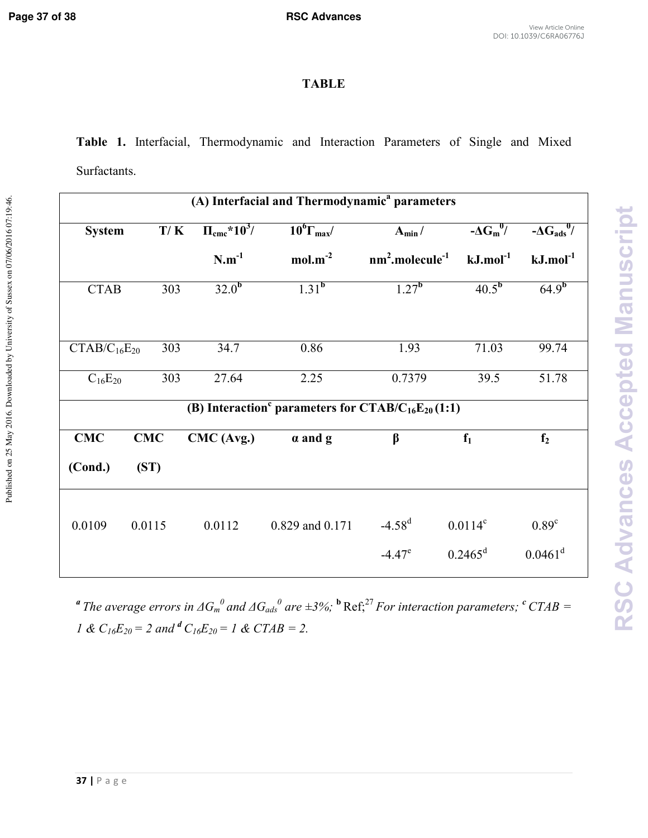Published on 25 May 2016. Downloaded by University of Sussex on 07/06/2016 07:19:46.

# **TABLE**

**Table 1.** Interfacial, Thermodynamic and Interaction Parameters of Single and Mixed Surfactants.

| (A) Interfacial and Thermodynamic <sup>a</sup> parameters |            |     |                                    |                                                                      |                               |                          |                                            |
|-----------------------------------------------------------|------------|-----|------------------------------------|----------------------------------------------------------------------|-------------------------------|--------------------------|--------------------------------------------|
| <b>System</b>                                             |            | T/K | $\Pi_{\rm cmc}$ *10 <sup>3</sup> / | $10^6$ $\Gamma_{\text{max}}$                                         | $A_{min}$ /                   | $-\Delta G_m^0/$         | $-\Delta G_{ads}^0$                        |
|                                                           |            |     | $N.m^{-1}$                         | $mol.m-2$                                                            | $nm2$ .molecule <sup>-1</sup> | $kJ$ .mol $^{-1}$        | $kJ$ .mol $^{-1}$                          |
| <b>CTAB</b>                                               |            | 303 | 32.0 <sup>b</sup>                  | $1.31^{b}$                                                           | $1.27^{b}$                    | 40.5 <sup>b</sup>        | 64.9 <sup>b</sup>                          |
| $CTAB/C_{16}E_{20}$                                       |            | 303 | 34.7                               | 0.86                                                                 | 1.93                          | 71.03                    | 99.74                                      |
| $C_{16}E_{20}$                                            |            | 303 | 27.64                              | 2.25                                                                 | 0.7379                        | 39.5                     | 51.78                                      |
|                                                           |            |     |                                    | (B) Interaction <sup>c</sup> parameters for $CTAB/C_{16}E_{20}(1:1)$ |                               |                          |                                            |
| <b>CMC</b>                                                | <b>CMC</b> |     | CMC (Avg.)                         | $\alpha$ and $\alpha$                                                | $\beta$                       | $f_1$                    | f <sub>2</sub>                             |
| (Cond.)                                                   | (ST)       |     |                                    |                                                                      |                               |                          |                                            |
| 0.0109                                                    | 0.0115     |     | 0.0112                             | 0.829 and 0.171                                                      | $-4.58^{d}$<br>$-4.47^e$      | $0.0114^c$<br>$0.2465^d$ | 0.89 <sup>c</sup><br>$0.0461$ <sup>d</sup> |

<sup>*a*</sup> The average errors in  $\Delta G_m^0$  and  $\Delta G_{ads}^0$  are  $\pm 3\%$ ; <sup>b</sup> Ref;<sup>27</sup> For interaction parameters; <sup>*c*</sup> CTAB = *1* &  $C_{16}E_{20} = 2$  and <sup>*d*</sup>  $C_{16}E_{20} = 1$  & CTAB = 2.